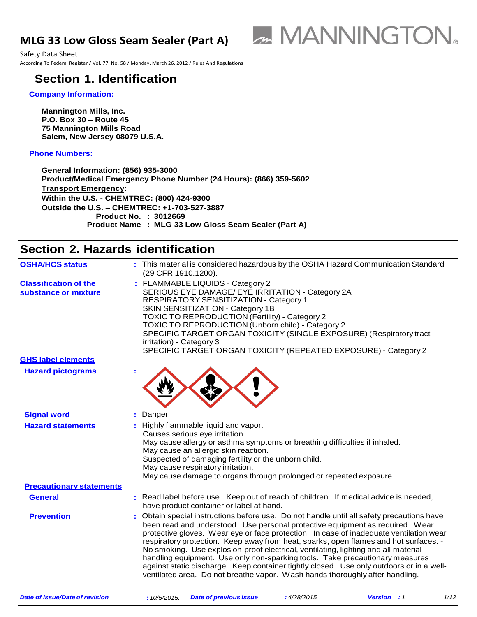### **MLG 33 Low Gloss Seam Sealer (Part A)**



Safety Data Sheet According To Federal Register / Vol. 77, No. 58 / Monday, March 26, 2012 / Rules And Regulations

### **Section 1. Identification**

#### **Company Information:**

**Mannington Mills, Inc. P.O. Box 30 – Route 45 75 Mannington Mills Road Salem, New Jersey 08079 U.S.A.**

#### **Phone Numbers:**

**General Information: (856) 935-3000 Product/Medical Emergency Phone Number (24 Hours): (866) 359-5602 Transport Emergency: Within the U.S. - CHEMTREC: (800) 424-9300 Outside the U.S. – CHEMTREC: +1-703-527-3887 Product No. : 3012669 Product Name : MLG 33 Low Gloss Seam Sealer (Part A)**

### **Section 2. Hazards identification**

| <b>OSHA/HCS status</b>                               |    | : This material is considered hazardous by the OSHA Hazard Communication Standard<br>(29 CFR 1910.1200).                                                                                                                                                                                                                                                                                                                                                                                                                                                                                                                                                                                                      |  |  |
|------------------------------------------------------|----|---------------------------------------------------------------------------------------------------------------------------------------------------------------------------------------------------------------------------------------------------------------------------------------------------------------------------------------------------------------------------------------------------------------------------------------------------------------------------------------------------------------------------------------------------------------------------------------------------------------------------------------------------------------------------------------------------------------|--|--|
| <b>Classification of the</b><br>substance or mixture |    | : FLAMMABLE LIQUIDS - Category 2<br>SERIOUS EYE DAMAGE/ EYE IRRITATION - Category 2A<br>RESPIRATORY SENSITIZATION - Category 1<br>SKIN SENSITIZATION - Category 1B<br>TOXIC TO REPRODUCTION (Fertility) - Category 2<br>TOXIC TO REPRODUCTION (Unborn child) - Category 2<br>SPECIFIC TARGET ORGAN TOXICITY (SINGLE EXPOSURE) (Respiratory tract<br>irritation) - Category 3<br>SPECIFIC TARGET ORGAN TOXICITY (REPEATED EXPOSURE) - Category 2                                                                                                                                                                                                                                                               |  |  |
| <b>GHS label elements</b>                            |    |                                                                                                                                                                                                                                                                                                                                                                                                                                                                                                                                                                                                                                                                                                               |  |  |
| <b>Hazard pictograms</b>                             |    |                                                                                                                                                                                                                                                                                                                                                                                                                                                                                                                                                                                                                                                                                                               |  |  |
| <b>Signal word</b>                                   |    | : Danger                                                                                                                                                                                                                                                                                                                                                                                                                                                                                                                                                                                                                                                                                                      |  |  |
| <b>Hazard statements</b>                             |    | : Highly flammable liquid and vapor.<br>Causes serious eye irritation.<br>May cause allergy or asthma symptoms or breathing difficulties if inhaled.<br>May cause an allergic skin reaction.<br>Suspected of damaging fertility or the unborn child.<br>May cause respiratory irritation.<br>May cause damage to organs through prolonged or repeated exposure.                                                                                                                                                                                                                                                                                                                                               |  |  |
| <b>Precautionary statements</b>                      |    |                                                                                                                                                                                                                                                                                                                                                                                                                                                                                                                                                                                                                                                                                                               |  |  |
| <b>General</b>                                       |    | : Read label before use. Keep out of reach of children. If medical advice is needed,<br>have product container or label at hand.                                                                                                                                                                                                                                                                                                                                                                                                                                                                                                                                                                              |  |  |
| <b>Prevention</b>                                    | ÷. | Obtain special instructions before use. Do not handle until all safety precautions have<br>been read and understood. Use personal protective equipment as required. Wear<br>protective gloves. Wear eye or face protection. In case of inadequate ventilation wear<br>respiratory protection. Keep away from heat, sparks, open flames and hot surfaces. -<br>No smoking. Use explosion-proof electrical, ventilating, lighting and all material-<br>handling equipment. Use only non-sparking tools. Take precautionary measures<br>against static discharge. Keep container tightly closed. Use only outdoors or in a well-<br>ventilated area. Do not breathe vapor. Wash hands thoroughly after handling. |  |  |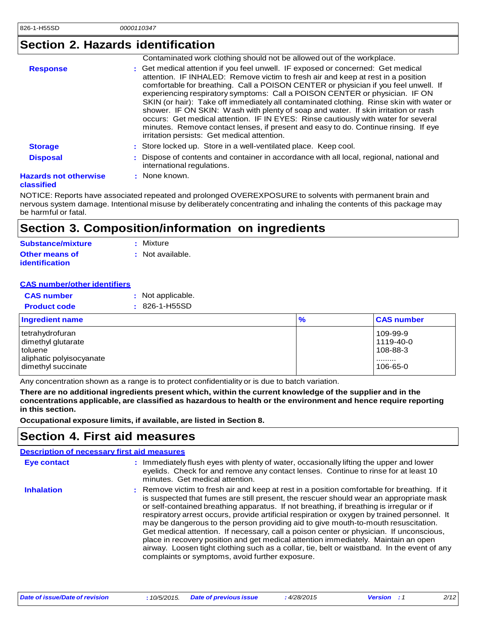## **Section 2. Hazards identification**

|                              | Contaminated work clothing should not be allowed out of the workplace.                                                                                                                                                                                                                                                                                                                                                                                                                                                                                                                                                                                                                                                                                   |
|------------------------------|----------------------------------------------------------------------------------------------------------------------------------------------------------------------------------------------------------------------------------------------------------------------------------------------------------------------------------------------------------------------------------------------------------------------------------------------------------------------------------------------------------------------------------------------------------------------------------------------------------------------------------------------------------------------------------------------------------------------------------------------------------|
| <b>Response</b>              | : Get medical attention if you feel unwell. IF exposed or concerned: Get medical<br>attention. IF INHALED: Remove victim to fresh air and keep at rest in a position<br>comfortable for breathing. Call a POISON CENTER or physician if you feel unwell. If<br>experiencing respiratory symptoms: Call a POISON CENTER or physician. IF ON<br>SKIN (or hair): Take off immediately all contaminated clothing. Rinse skin with water or<br>shower. IF ON SKIN: Wash with plenty of soap and water. If skin irritation or rash<br>occurs: Get medical attention. IF IN EYES: Rinse cautiously with water for several<br>minutes. Remove contact lenses, if present and easy to do. Continue rinsing. If eye<br>irritation persists: Get medical attention. |
| <b>Storage</b>               | : Store locked up. Store in a well-ventilated place. Keep cool.                                                                                                                                                                                                                                                                                                                                                                                                                                                                                                                                                                                                                                                                                          |
| <b>Disposal</b>              | : Dispose of contents and container in accordance with all local, regional, national and<br>international regulations.                                                                                                                                                                                                                                                                                                                                                                                                                                                                                                                                                                                                                                   |
| <b>Hazards not otherwise</b> | : None known.                                                                                                                                                                                                                                                                                                                                                                                                                                                                                                                                                                                                                                                                                                                                            |
|                              |                                                                                                                                                                                                                                                                                                                                                                                                                                                                                                                                                                                                                                                                                                                                                          |

#### **classified**

NOTICE: Reports have associated repeated and prolonged OVEREXPOSURE to solvents with permanent brain and nervous system damage. Intentional misuse by deliberately concentrating and inhaling the contents of this package may be harmful or fatal.

### **Section 3. Composition/information on ingredients**

| <b>Substance/mixture</b>                       | : Mixture        |
|------------------------------------------------|------------------|
| <b>Other means of</b><br><b>identification</b> | : Not available. |

#### **CAS number/other identifiers**

| <b>CAS number</b>   | : Not applicable.   |
|---------------------|---------------------|
| <b>Product code</b> | $: 826 - 1 - H55SD$ |

| <b>Ingredient name</b>                                                                             | $\frac{9}{6}$ | <b>CAS number</b>                                    |
|----------------------------------------------------------------------------------------------------|---------------|------------------------------------------------------|
| tetrahydrofuran<br>dimethyl glutarate<br>toluene<br>aliphatic polyisocyanate<br>dimethyl succinate |               | 109-99-9<br>l 1119-40-0<br>108-88-3<br>.<br>106-65-0 |

Any concentration shown as a range is to protect confidentiality or is due to batch variation.

There are no additional ingredients present which, within the current knowledge of the supplier and in the **concentrations applicable, are classified as hazardous to health or the environment and hence require reporting in this section.**

**Occupational exposure limits, if available, are listed in Section 8.**

### **Section 4. First aid measures**

|                    | <b>Description of necessary first aid measures</b>                                                                                                                                                                                                                                                                                                                                                                                                                                                                                                                                                                                                                                                                                                                                                          |
|--------------------|-------------------------------------------------------------------------------------------------------------------------------------------------------------------------------------------------------------------------------------------------------------------------------------------------------------------------------------------------------------------------------------------------------------------------------------------------------------------------------------------------------------------------------------------------------------------------------------------------------------------------------------------------------------------------------------------------------------------------------------------------------------------------------------------------------------|
| <b>Eye contact</b> | : Immediately flush eyes with plenty of water, occasionally lifting the upper and lower<br>eyelids. Check for and remove any contact lenses. Continue to rinse for at least 10<br>minutes. Get medical attention.                                                                                                                                                                                                                                                                                                                                                                                                                                                                                                                                                                                           |
| <b>Inhalation</b>  | : Remove victim to fresh air and keep at rest in a position comfortable for breathing. If it<br>is suspected that fumes are still present, the rescuer should wear an appropriate mask<br>or self-contained breathing apparatus. If not breathing, if breathing is irregular or if<br>respiratory arrest occurs, provide artificial respiration or oxygen by trained personnel. It<br>may be dangerous to the person providing aid to give mouth-to-mouth resuscitation.<br>Get medical attention. If necessary, call a poison center or physician. If unconscious,<br>place in recovery position and get medical attention immediately. Maintain an open<br>airway. Loosen tight clothing such as a collar, tie, belt or waistband. In the event of any<br>complaints or symptoms, avoid further exposure. |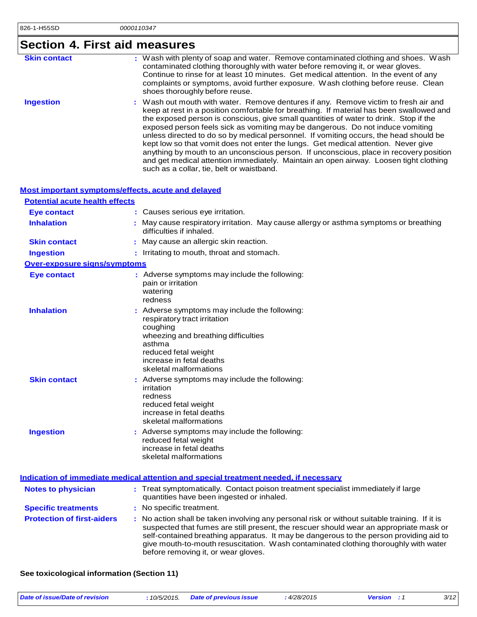# **Section 4. First aid measures**

| <b>Skin contact</b> | : Wash with plenty of soap and water. Remove contaminated clothing and shoes. Wash<br>contaminated clothing thoroughly with water before removing it, or wear gloves.<br>Continue to rinse for at least 10 minutes. Get medical attention. In the event of any<br>complaints or symptoms, avoid further exposure. Wash clothing before reuse. Clean<br>shoes thoroughly before reuse.                                                                                                                                                                                                                                                                                                                                                                                     |
|---------------------|---------------------------------------------------------------------------------------------------------------------------------------------------------------------------------------------------------------------------------------------------------------------------------------------------------------------------------------------------------------------------------------------------------------------------------------------------------------------------------------------------------------------------------------------------------------------------------------------------------------------------------------------------------------------------------------------------------------------------------------------------------------------------|
| <b>Ingestion</b>    | : Wash out mouth with water. Remove dentures if any. Remove victim to fresh air and<br>keep at rest in a position comfortable for breathing. If material has been swallowed and<br>the exposed person is conscious, give small quantities of water to drink. Stop if the<br>exposed person feels sick as vomiting may be dangerous. Do not induce vomiting<br>unless directed to do so by medical personnel. If vomiting occurs, the head should be<br>kept low so that vomit does not enter the lungs. Get medical attention. Never give<br>anything by mouth to an unconscious person. If unconscious, place in recovery position<br>and get medical attention immediately. Maintain an open airway. Loosen tight clothing<br>such as a collar, tie, belt or waistband. |

|  |  | Most important symptoms/effects, acute and delayed |  |
|--|--|----------------------------------------------------|--|
|  |  |                                                    |  |

| <b>Potential acute health effects</b> |                                                                                                                                                                                                                                                                                                                                                                                                               |
|---------------------------------------|---------------------------------------------------------------------------------------------------------------------------------------------------------------------------------------------------------------------------------------------------------------------------------------------------------------------------------------------------------------------------------------------------------------|
| <b>Eye contact</b>                    | : Causes serious eye irritation.                                                                                                                                                                                                                                                                                                                                                                              |
| <b>Inhalation</b>                     | May cause respiratory irritation. May cause allergy or asthma symptoms or breathing<br>difficulties if inhaled.                                                                                                                                                                                                                                                                                               |
| <b>Skin contact</b>                   | May cause an allergic skin reaction.                                                                                                                                                                                                                                                                                                                                                                          |
| <b>Ingestion</b>                      | : Irritating to mouth, throat and stomach.                                                                                                                                                                                                                                                                                                                                                                    |
| Over-exposure signs/symptoms          |                                                                                                                                                                                                                                                                                                                                                                                                               |
| <b>Eye contact</b>                    | : Adverse symptoms may include the following:<br>pain or irritation<br>watering<br>redness                                                                                                                                                                                                                                                                                                                    |
| <b>Inhalation</b>                     | : Adverse symptoms may include the following:<br>respiratory tract irritation<br>coughing<br>wheezing and breathing difficulties<br>asthma<br>reduced fetal weight<br>increase in fetal deaths<br>skeletal malformations                                                                                                                                                                                      |
| <b>Skin contact</b>                   | : Adverse symptoms may include the following:<br>irritation<br>redness<br>reduced fetal weight<br>increase in fetal deaths<br>skeletal malformations                                                                                                                                                                                                                                                          |
| <b>Ingestion</b>                      | : Adverse symptoms may include the following:<br>reduced fetal weight<br>increase in fetal deaths<br>skeletal malformations                                                                                                                                                                                                                                                                                   |
|                                       | Indication of immediate medical attention and special treatment needed, if necessary                                                                                                                                                                                                                                                                                                                          |
| <b>Notes to physician</b>             | : Treat symptomatically. Contact poison treatment specialist immediately if large<br>quantities have been ingested or inhaled.                                                                                                                                                                                                                                                                                |
| <b>Specific treatments</b>            | : No specific treatment.                                                                                                                                                                                                                                                                                                                                                                                      |
| <b>Protection of first-aiders</b>     | No action shall be taken involving any personal risk or without suitable training. If it is<br>suspected that fumes are still present, the rescuer should wear an appropriate mask or<br>self-contained breathing apparatus. It may be dangerous to the person providing aid to<br>give mouth-to-mouth resuscitation. Wash contaminated clothing thoroughly with water<br>before removing it, or wear gloves. |

### **See toxicological information (Section 11)**

| Date of issue/Date of revision | : 10/5/2015. | <b>Date of previous issue</b> | 4/28/2015 | <b>Version</b> : 1 | 3/12 |
|--------------------------------|--------------|-------------------------------|-----------|--------------------|------|
|                                |              |                               |           |                    |      |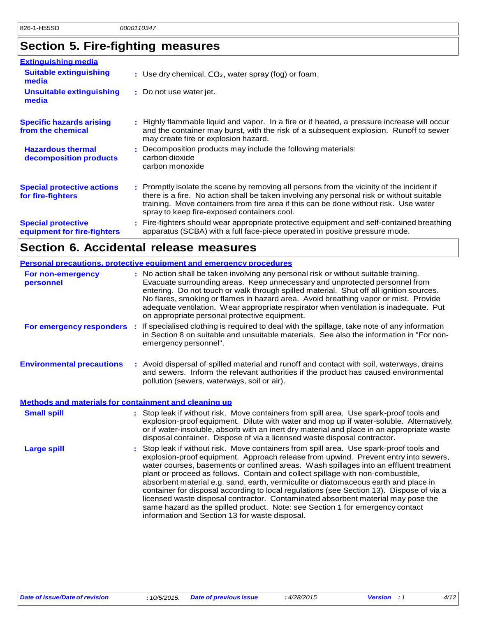## **Section 5. Fire-fighting measures**

| <b>Extinguishing media</b>                               |                                                                                                                                                                                                                                                                                                                               |
|----------------------------------------------------------|-------------------------------------------------------------------------------------------------------------------------------------------------------------------------------------------------------------------------------------------------------------------------------------------------------------------------------|
| <b>Suitable extinguishing</b><br>media                   | : Use dry chemical, $CO2$ , water spray (fog) or foam.                                                                                                                                                                                                                                                                        |
| Unsuitable extinguishing<br>media                        | : Do not use water jet.                                                                                                                                                                                                                                                                                                       |
| <b>Specific hazards arising</b><br>from the chemical     | . Highly flammable liquid and vapor. In a fire or if heated, a pressure increase will occur<br>and the container may burst, with the risk of a subsequent explosion. Runoff to sewer<br>may create fire or explosion hazard.                                                                                                  |
| <b>Hazardous thermal</b><br>decomposition products       | : Decomposition products may include the following materials:<br>carbon dioxide<br>carbon monoxide                                                                                                                                                                                                                            |
| <b>Special protective actions</b><br>for fire-fighters   | : Promptly isolate the scene by removing all persons from the vicinity of the incident if<br>there is a fire. No action shall be taken involving any personal risk or without suitable<br>training. Move containers from fire area if this can be done without risk. Use water<br>spray to keep fire-exposed containers cool. |
| <b>Special protective</b><br>equipment for fire-fighters | : Fire-fighters should wear appropriate protective equipment and self-contained breathing<br>apparatus (SCBA) with a full face-piece operated in positive pressure mode.                                                                                                                                                      |

## **Section 6. Accidental release measures**

| <b>Personal precautions, protective equipment and emergency procedures</b> |                       |                                                                                                                                                                                                                                                                                                                                                                                                                                                                                                                                                                                                                                                                                                                  |
|----------------------------------------------------------------------------|-----------------------|------------------------------------------------------------------------------------------------------------------------------------------------------------------------------------------------------------------------------------------------------------------------------------------------------------------------------------------------------------------------------------------------------------------------------------------------------------------------------------------------------------------------------------------------------------------------------------------------------------------------------------------------------------------------------------------------------------------|
| For non-emergency<br>personnel                                             |                       | : No action shall be taken involving any personal risk or without suitable training.<br>Evacuate surrounding areas. Keep unnecessary and unprotected personnel from<br>entering. Do not touch or walk through spilled material. Shut off all ignition sources.<br>No flares, smoking or flames in hazard area. Avoid breathing vapor or mist. Provide<br>adequate ventilation. Wear appropriate respirator when ventilation is inadequate. Put<br>on appropriate personal protective equipment.                                                                                                                                                                                                                  |
| For emergency responders :                                                 | emergency personnel". | If specialised clothing is required to deal with the spillage, take note of any information<br>in Section 8 on suitable and unsuitable materials. See also the information in "For non-                                                                                                                                                                                                                                                                                                                                                                                                                                                                                                                          |
| <b>Environmental precautions</b>                                           |                       | : Avoid dispersal of spilled material and runoff and contact with soil, waterways, drains<br>and sewers. Inform the relevant authorities if the product has caused environmental<br>pollution (sewers, waterways, soil or air).                                                                                                                                                                                                                                                                                                                                                                                                                                                                                  |
| Methods and materials for containment and cleaning up                      |                       |                                                                                                                                                                                                                                                                                                                                                                                                                                                                                                                                                                                                                                                                                                                  |
| <b>Small spill</b>                                                         |                       | : Stop leak if without risk. Move containers from spill area. Use spark-proof tools and<br>explosion-proof equipment. Dilute with water and mop up if water-soluble. Alternatively,<br>or if water-insoluble, absorb with an inert dry material and place in an appropriate waste<br>disposal container. Dispose of via a licensed waste disposal contractor.                                                                                                                                                                                                                                                                                                                                                    |
| <b>Large spill</b>                                                         |                       | Stop leak if without risk. Move containers from spill area. Use spark-proof tools and<br>explosion-proof equipment. Approach release from upwind. Prevent entry into sewers,<br>water courses, basements or confined areas. Wash spillages into an effluent treatment<br>plant or proceed as follows. Contain and collect spillage with non-combustible,<br>absorbent material e.g. sand, earth, vermiculite or diatomaceous earth and place in<br>container for disposal according to local regulations (see Section 13). Dispose of via a<br>licensed waste disposal contractor. Contaminated absorbent material may pose the<br>same hazard as the spilled product. Note: see Section 1 for emergency contact |

information and Section 13 for waste disposal.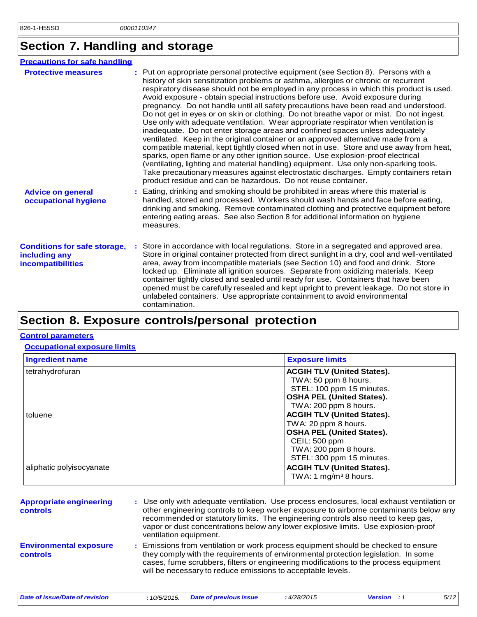## **Section 7. Handling and storage**

| <b>Precautions for safe handling</b>                                             |                                                                                                                                                                                                                                                                                                                                                                                                                                                                                                                                                                                                                                                                                                                                                                                                                                                                                                                                                                                                                                                                                                                                                                                                                                         |
|----------------------------------------------------------------------------------|-----------------------------------------------------------------------------------------------------------------------------------------------------------------------------------------------------------------------------------------------------------------------------------------------------------------------------------------------------------------------------------------------------------------------------------------------------------------------------------------------------------------------------------------------------------------------------------------------------------------------------------------------------------------------------------------------------------------------------------------------------------------------------------------------------------------------------------------------------------------------------------------------------------------------------------------------------------------------------------------------------------------------------------------------------------------------------------------------------------------------------------------------------------------------------------------------------------------------------------------|
| <b>Protective measures</b>                                                       | : Put on appropriate personal protective equipment (see Section 8). Persons with a<br>history of skin sensitization problems or asthma, allergies or chronic or recurrent<br>respiratory disease should not be employed in any process in which this product is used.<br>Avoid exposure - obtain special instructions before use. Avoid exposure during<br>pregnancy. Do not handle until all safety precautions have been read and understood.<br>Do not get in eyes or on skin or clothing. Do not breathe vapor or mist. Do not ingest.<br>Use only with adequate ventilation. Wear appropriate respirator when ventilation is<br>inadequate. Do not enter storage areas and confined spaces unless adequately<br>ventilated. Keep in the original container or an approved alternative made from a<br>compatible material, kept tightly closed when not in use. Store and use away from heat,<br>sparks, open flame or any other ignition source. Use explosion-proof electrical<br>(ventilating, lighting and material handling) equipment. Use only non-sparking tools.<br>Take precautionary measures against electrostatic discharges. Empty containers retain<br>product residue and can be hazardous. Do not reuse container. |
| <b>Advice on general</b><br>occupational hygiene                                 | Eating, drinking and smoking should be prohibited in areas where this material is<br>handled, stored and processed. Workers should wash hands and face before eating,<br>drinking and smoking. Remove contaminated clothing and protective equipment before<br>entering eating areas. See also Section 8 for additional information on hygiene<br>measures.                                                                                                                                                                                                                                                                                                                                                                                                                                                                                                                                                                                                                                                                                                                                                                                                                                                                             |
| <b>Conditions for safe storage,</b><br>including any<br><b>incompatibilities</b> | Store in accordance with local regulations. Store in a segregated and approved area.<br>Store in original container protected from direct sunlight in a dry, cool and well-ventilated<br>area, away from incompatible materials (see Section 10) and food and drink. Store<br>locked up. Eliminate all ignition sources. Separate from oxidizing materials. Keep<br>container tightly closed and sealed until ready for use. Containers that have been<br>opened must be carefully resealed and kept upright to prevent leakage. Do not store in<br>unlabeled containers. Use appropriate containment to avoid environmental<br>contamination.                                                                                                                                                                                                                                                                                                                                                                                                                                                                                                                                                                                          |
|                                                                                  |                                                                                                                                                                                                                                                                                                                                                                                                                                                                                                                                                                                                                                                                                                                                                                                                                                                                                                                                                                                                                                                                                                                                                                                                                                         |

## **Section 8. Exposure controls/personal protection**

#### **Control parameters**

#### **Occupational exposure limits**

| <b>Ingredient name</b>   | <b>Exposure limits</b>                                                                                                                                               |  |  |
|--------------------------|----------------------------------------------------------------------------------------------------------------------------------------------------------------------|--|--|
| tetrahydrofuran          | <b>ACGIH TLV (United States).</b><br>TWA: 50 ppm 8 hours.<br>STEL: 100 ppm 15 minutes.<br><b>OSHA PEL (United States).</b><br>TWA: 200 ppm 8 hours.                  |  |  |
| toluene                  | <b>ACGIH TLV (United States).</b><br>TWA: 20 ppm 8 hours.<br><b>OSHA PEL (United States).</b><br>CEIL: 500 ppm<br>TWA: 200 ppm 8 hours.<br>STEL: 300 ppm 15 minutes. |  |  |
| aliphatic polyisocyanate | <b>ACGIH TLV (United States).</b><br>TWA: 1 mg/m <sup>3</sup> 8 hours.                                                                                               |  |  |

| <b>Appropriate engineering</b><br><b>controls</b> | : Use only with adequate ventilation. Use process enclosures, local exhaust ventilation or<br>other engineering controls to keep worker exposure to airborne contaminants below any<br>recommended or statutory limits. The engineering controls also need to keep gas,<br>vapor or dust concentrations below any lower explosive limits. Use explosion-proof<br>ventilation equipment. |
|---------------------------------------------------|-----------------------------------------------------------------------------------------------------------------------------------------------------------------------------------------------------------------------------------------------------------------------------------------------------------------------------------------------------------------------------------------|
| <b>Environmental exposure</b><br><b>controls</b>  | : Emissions from ventilation or work process equipment should be checked to ensure<br>they comply with the requirements of environmental protection legislation. In some<br>cases, fume scrubbers, filters or engineering modifications to the process equipment<br>will be necessary to reduce emissions to acceptable levels.                                                         |

*Date of issue/Date of revision* **:** *10/5/2015. Date of previous issue : 4/28/2015 Version : 1 5/12*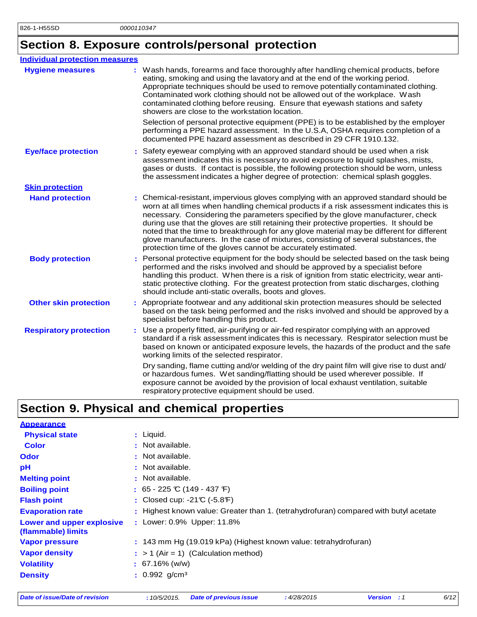## **Section 8. Exposure controls/personal protection**

| <b>Individual protection measures</b> |                                                                                                                                                                                                                                                                                                                                                                                                                                                                                                                                                                                                                        |
|---------------------------------------|------------------------------------------------------------------------------------------------------------------------------------------------------------------------------------------------------------------------------------------------------------------------------------------------------------------------------------------------------------------------------------------------------------------------------------------------------------------------------------------------------------------------------------------------------------------------------------------------------------------------|
| <b>Hygiene measures</b>               | Wash hands, forearms and face thoroughly after handling chemical products, before<br>eating, smoking and using the lavatory and at the end of the working period.<br>Appropriate techniques should be used to remove potentially contaminated clothing.<br>Contaminated work clothing should not be allowed out of the workplace. Wash<br>contaminated clothing before reusing. Ensure that eyewash stations and safety<br>showers are close to the workstation location.                                                                                                                                              |
|                                       | Selection of personal protective equipment (PPE) is to be established by the employer<br>performing a PPE hazard assessment. In the U.S.A, OSHA requires completion of a<br>documented PPE hazard assessment as described in 29 CFR 1910.132.                                                                                                                                                                                                                                                                                                                                                                          |
| <b>Eye/face protection</b>            | : Safety eyewear complying with an approved standard should be used when a risk<br>assessment indicates this is necessary to avoid exposure to liquid splashes, mists,<br>gases or dusts. If contact is possible, the following protection should be worn, unless<br>the assessment indicates a higher degree of protection: chemical splash goggles.                                                                                                                                                                                                                                                                  |
| <b>Skin protection</b>                |                                                                                                                                                                                                                                                                                                                                                                                                                                                                                                                                                                                                                        |
| <b>Hand protection</b>                | : Chemical-resistant, impervious gloves complying with an approved standard should be<br>worn at all times when handling chemical products if a risk assessment indicates this is<br>necessary. Considering the parameters specified by the glove manufacturer, check<br>during use that the gloves are still retaining their protective properties. It should be<br>noted that the time to breakthrough for any glove material may be different for different<br>glove manufacturers. In the case of mixtures, consisting of several substances, the<br>protection time of the gloves cannot be accurately estimated. |
| <b>Body protection</b>                | : Personal protective equipment for the body should be selected based on the task being<br>performed and the risks involved and should be approved by a specialist before<br>handling this product. When there is a risk of ignition from static electricity, wear anti-<br>static protective clothing. For the greatest protection from static discharges, clothing<br>should include anti-static overalls, boots and gloves.                                                                                                                                                                                         |
| <b>Other skin protection</b>          | : Appropriate footwear and any additional skin protection measures should be selected<br>based on the task being performed and the risks involved and should be approved by a<br>specialist before handling this product.                                                                                                                                                                                                                                                                                                                                                                                              |
| <b>Respiratory protection</b>         | : Use a properly fitted, air-purifying or air-fed respirator complying with an approved<br>standard if a risk assessment indicates this is necessary. Respirator selection must be<br>based on known or anticipated exposure levels, the hazards of the product and the safe<br>working limits of the selected respirator.                                                                                                                                                                                                                                                                                             |
|                                       | Dry sanding, flame cutting and/or welding of the dry paint film will give rise to dust and/<br>or hazardous fumes. Wet sanding/flatting should be used wherever possible. If<br>exposure cannot be avoided by the provision of local exhaust ventilation, suitable<br>respiratory protective equipment should be used.                                                                                                                                                                                                                                                                                                 |

## **Section 9. Physical and chemical properties**

| <b>Appearance</b>                               |                                                                                      |
|-------------------------------------------------|--------------------------------------------------------------------------------------|
| <b>Physical state</b>                           | $:$ Liquid.                                                                          |
| <b>Color</b>                                    | : Not available.                                                                     |
| <b>Odor</b>                                     | : Not available.                                                                     |
| рH                                              | : Not available.                                                                     |
| <b>Melting point</b>                            | : Not available.                                                                     |
| <b>Boiling point</b>                            | : $65 - 225$ °C (149 - 437 °F)                                                       |
| <b>Flash point</b>                              | : Closed cup: $-21C$ ( $-5.8F$ )                                                     |
| <b>Evaporation rate</b>                         | : Highest known value: Greater than 1. (tetrahydrofuran) compared with butyl acetate |
| Lower and upper explosive<br>(flammable) limits | : Lower: 0.9% Upper: 11.8%                                                           |
| <b>Vapor pressure</b>                           | : 143 mm Hg (19.019 kPa) (Highest known value: tetrahydrofuran)                      |
| <b>Vapor density</b>                            | $:$ > 1 (Air = 1) (Calculation method)                                               |
| <b>Volatility</b>                               | $: 67.16\%$ (w/w)                                                                    |
| <b>Density</b>                                  | $: 0.992$ g/cm <sup>3</sup>                                                          |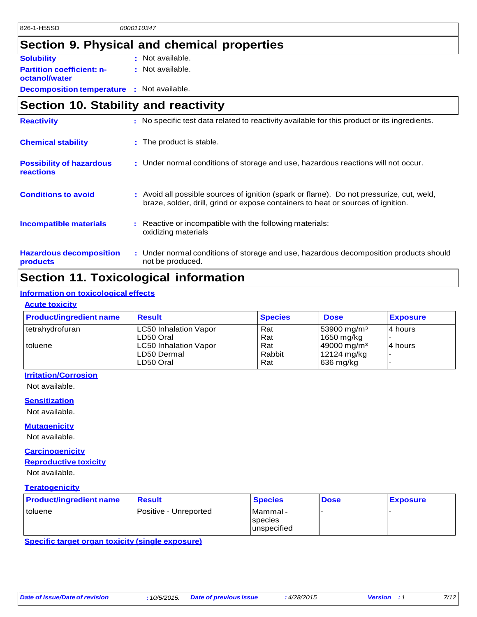## **Section 9. Physical and chemical properties**

| <b>Solubility</b>                                 | : Not available. |
|---------------------------------------------------|------------------|
| <b>Partition coefficient: n-</b><br>octanol/water | : Not available. |
| <b>Decomposition temperature</b>                  | : Not available. |

## **Section 10. Stability and reactivity**

| <b>Reactivity</b>                            | : No specific test data related to reactivity available for this product or its ingredients.                                                                                 |
|----------------------------------------------|------------------------------------------------------------------------------------------------------------------------------------------------------------------------------|
| <b>Chemical stability</b>                    | : The product is stable.                                                                                                                                                     |
| <b>Possibility of hazardous</b><br>reactions | : Under normal conditions of storage and use, hazardous reactions will not occur.                                                                                            |
| <b>Conditions to avoid</b>                   | : Avoid all possible sources of ignition (spark or flame). Do not pressurize, cut, weld,<br>braze, solder, drill, grind or expose containers to heat or sources of ignition. |
| Incompatible materials                       | : Reactive or incompatible with the following materials:<br>oxidizing materials                                                                                              |
| <b>Hazardous decomposition</b><br>products   | : Under normal conditions of storage and use, hazardous decomposition products should<br>not be produced.                                                                    |

## **Section 11. Toxicological information**

### **Information on toxicological effects**

### **Acute toxicity**

| <b>Product/ingredient name</b> | <b>Result</b>                | <b>Species</b> | <b>Dose</b>             | <b>Exposure</b>          |
|--------------------------------|------------------------------|----------------|-------------------------|--------------------------|
| tetrahydrofuran                | <b>LC50 Inhalation Vapor</b> | Rat            | $ 53900 \text{ mg/m}^3$ | 14 hours                 |
|                                | ILD50 Oral                   | Rat            | 1650 mg/kg              |                          |
| I toluene                      | <b>LC50 Inhalation Vapor</b> | Rat            | 49000 mg/m <sup>3</sup> | 14 hours                 |
|                                | ILD50 Dermal                 | Rabbit         | 12124 mg/kg             | $\overline{\phantom{0}}$ |
|                                | LD50 Oral                    | Rat            | $ 636 \text{ mg/kg} $   | $\overline{\phantom{0}}$ |

#### **Irritation/Corrosion**

Not available.

#### **Sensitization**

Not available.

### **Mutagenicity**

Not available.

#### **Carcinogenicity**

### **Reproductive toxicity**

Not available.

### **Teratogenicity**

| <b>Product/ingredient name</b> | <b>Result</b>         | <b>Species</b>                                    | <b>Dose</b> | <b>Exposure</b> |
|--------------------------------|-----------------------|---------------------------------------------------|-------------|-----------------|
| I toluene                      | Positive - Unreported | <b>Mammal</b> -<br><b>Species</b><br>lunspecified |             |                 |

**Specific target organ toxicity (single exposure)**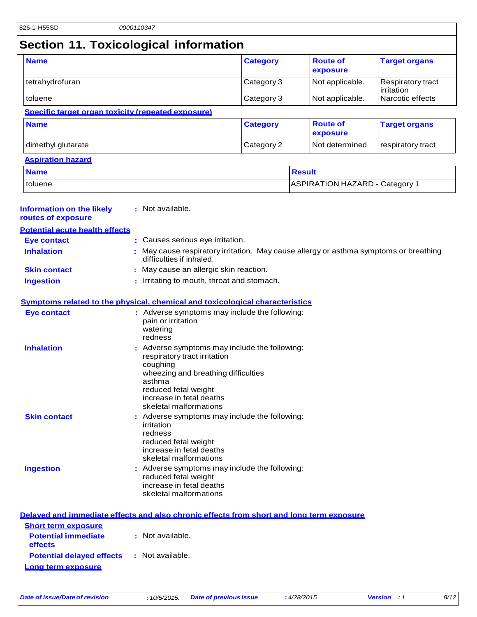## **Section 11. Toxicological information**

| <b>Name</b>                                        | <b>Category</b>          | <b>Route of</b><br>exposure        | <b>Target organs</b>                                 |
|----------------------------------------------------|--------------------------|------------------------------------|------------------------------------------------------|
| tetrahydrofuran<br>toluene                         | Category 3<br>Category 3 | Not applicable.<br>Not applicable. | Respiratory tract<br>lirritation<br>Narcotic effects |
| Specific target organ toxicity (repeated exposure) |                          |                                    |                                                      |
| <b>Name</b>                                        | <b>Category</b>          | <b>Route of</b>                    | <b>Target organs</b>                                 |

**exposure**

### dimethyl glutarate **Category 2** Not determined respiratory tract **Aspiration hazard**

| <b>Name</b> | <b>Result</b>                         |
|-------------|---------------------------------------|
| toluene     | <b>ASPIRATION HAZARD - Category 1</b> |

| <b>Information on the likely</b> |  | : Not available. |  |
|----------------------------------|--|------------------|--|
|----------------------------------|--|------------------|--|

|  |  | routes of exposure |
|--|--|--------------------|
|--|--|--------------------|

| <b>Potential acute health effects</b> |                                                                                                                   |
|---------------------------------------|-------------------------------------------------------------------------------------------------------------------|
| Eye contact                           | : Causes serious eye irritation.                                                                                  |
| <b>Inhalation</b>                     | : May cause respiratory irritation. May cause allergy or asthma symptoms or breathing<br>difficulties if inhaled. |
| <b>Skin contact</b>                   | : May cause an allergic skin reaction.                                                                            |
| <b>Ingestion</b>                      | : Irritating to mouth, throat and stomach.                                                                        |

#### **Symptoms related to the physical, chemical and toxicological characteristics**

| <b>Eye contact</b>  | : Adverse symptoms may include the following:<br>pain or irritation<br>watering<br>redness                                                                                                                               |
|---------------------|--------------------------------------------------------------------------------------------------------------------------------------------------------------------------------------------------------------------------|
| <b>Inhalation</b>   | : Adverse symptoms may include the following:<br>respiratory tract irritation<br>coughing<br>wheezing and breathing difficulties<br>asthma<br>reduced fetal weight<br>increase in fetal deaths<br>skeletal malformations |
| <b>Skin contact</b> | : Adverse symptoms may include the following:<br>irritation<br>redness<br>reduced fetal weight<br>increase in fetal deaths<br>skeletal malformations                                                                     |
| <b>Ingestion</b>    | : Adverse symptoms may include the following:<br>reduced fetal weight<br>increase in fetal deaths<br>skeletal malformations                                                                                              |

|                                                   | Delayed and immediate effects and also chronic effects from short and long term exposure |
|---------------------------------------------------|------------------------------------------------------------------------------------------|
| <b>Short term exposure</b>                        |                                                                                          |
| <b>Potential immediate</b><br><b>effects</b>      | : Not available.                                                                         |
| <b>Potential delayed effects : Not available.</b> |                                                                                          |
| Long term exposure                                |                                                                                          |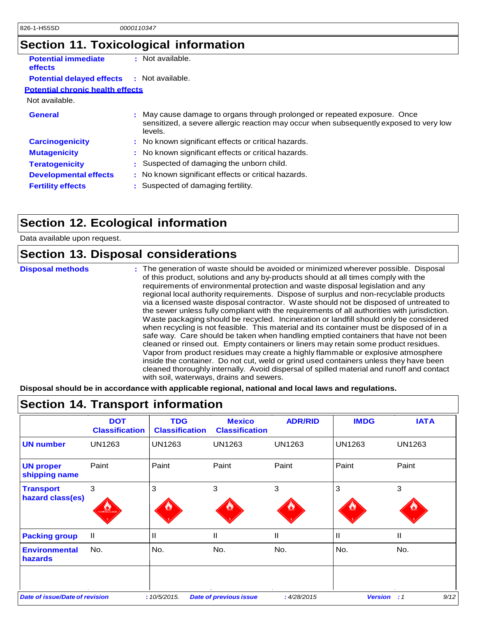## **Section 11. Toxicological information**

| <b>Potential immediate</b><br>effects   |    | : Not available.                                                                                                                                                             |
|-----------------------------------------|----|------------------------------------------------------------------------------------------------------------------------------------------------------------------------------|
| <b>Potential delayed effects</b>        |    | : Not available.                                                                                                                                                             |
| <b>Potential chronic health effects</b> |    |                                                                                                                                                                              |
| Not available.                          |    |                                                                                                                                                                              |
| General                                 | ÷. | May cause damage to organs through prolonged or repeated exposure. Once<br>sensitized, a severe allergic reaction may occur when subsequently exposed to very low<br>levels. |
| <b>Carcinogenicity</b>                  |    | : No known significant effects or critical hazards.                                                                                                                          |
| <b>Mutagenicity</b>                     |    | : No known significant effects or critical hazards.                                                                                                                          |
| <b>Teratogenicity</b>                   | ÷. | Suspected of damaging the unborn child.                                                                                                                                      |
| <b>Developmental effects</b>            |    | : No known significant effects or critical hazards.                                                                                                                          |
| <b>Fertility effects</b>                |    | Suspected of damaging fertility.                                                                                                                                             |
|                                         |    |                                                                                                                                                                              |

## **Section 12. Ecological information**

Data available upon request.

### **Section 13. Disposal considerations**

| <b>Disposal methods</b> | : The generation of waste should be avoided or minimized wherever possible. Disposal<br>of this product, solutions and any by-products should at all times comply with the             |
|-------------------------|----------------------------------------------------------------------------------------------------------------------------------------------------------------------------------------|
|                         | requirements of environmental protection and waste disposal legislation and any<br>regional local authority requirements. Dispose of surplus and non-recyclable products               |
|                         | via a licensed waste disposal contractor. Waste should not be disposed of untreated to                                                                                                 |
|                         | the sewer unless fully compliant with the requirements of all authorities with jurisdiction.<br>Waste packaging should be recycled. Incineration or landfill should only be considered |
|                         | when recycling is not feasible. This material and its container must be disposed of in a<br>safe way. Care should be taken when handling emptied containers that have not been         |
|                         | cleaned or rinsed out. Empty containers or liners may retain some product residues.<br>Vapor from product residues may create a highly flammable or explosive atmosphere               |
|                         | inside the container. Do not cut, weld or grind used containers unless they have been<br>cleaned thoroughly internally. Avoid dispersal of spilled material and runoff and contact     |
|                         | with soil, waterways, drains and sewers.                                                                                                                                               |

**Disposal should be in accordance with applicable regional, national and local laws and regulations.**

|                                        | <b>DOT</b><br><b>Classification</b> | <b>TDG</b><br><b>Classification</b> | <b>Mexico</b><br><b>Classification</b> | <b>ADR/RID</b> | <b>IMDG</b>    | <b>IATA</b>    |
|----------------------------------------|-------------------------------------|-------------------------------------|----------------------------------------|----------------|----------------|----------------|
| <b>UN number</b>                       | <b>UN1263</b>                       | <b>UN1263</b>                       | <b>UN1263</b>                          | <b>UN1263</b>  | <b>UN1263</b>  | UN1263         |
| <b>UN proper</b><br>shipping name      | Paint                               | Paint                               | Paint                                  | Paint          | Paint          | Paint          |
| <b>Transport</b><br>hazard class(es)   | 3<br><b>FLAMMABLE LIQUE</b>         | 3                                   | 3                                      | 3              | 3              | 3              |
| <b>Packing group</b>                   | $\mathbf{II}$                       | Ш                                   | Ш                                      | $\mathbf{H}$   | $\mathbf{H}$   | Ш              |
| <b>Environmental</b><br><b>hazards</b> | No.                                 | No.                                 | No.                                    | No.            | No.            | No.            |
| <b>Date of issue/Date of revision</b>  |                                     | :10/5/2015.                         | <b>Date of previous issue</b>          | :4/28/2015     | <b>Version</b> | $\therefore$ 1 |

### **Section 14. Transport information**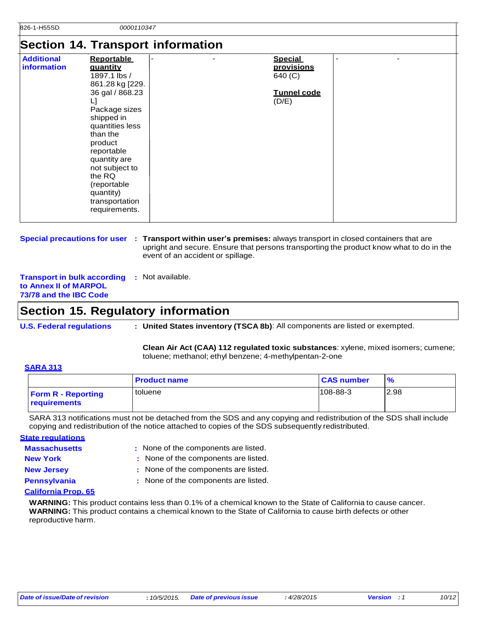### **Section 14. Transport information**

| <b>Additional</b><br>information | <b>Reportable</b><br>quantity<br>1897.1 lbs /<br>861.28 kg [229.<br>36 gal / 868.23<br>L]<br>Package sizes<br>shipped in<br>quantities less<br>than the<br>product<br>reportable | $\beta$ ection 14. Hansport information<br><b>Special</b><br>provisions<br>640 (C)<br><b>Tunnel code</b><br>(D/E) |
|----------------------------------|----------------------------------------------------------------------------------------------------------------------------------------------------------------------------------|-------------------------------------------------------------------------------------------------------------------|
|                                  | quantity are<br>not subject to<br>the RQ<br>(reportable<br>quantity)<br>transportation<br>requirements.                                                                          |                                                                                                                   |

**Special precautions for user : Transport within user's premises:** always transport in closed containers that are upright and secure. Ensure that persons transporting the product know what to do in the event of an accident or spillage.

**Transport in bulk according :** Not available. **to Annex II of MARPOL 73/78 and the IBC Code**

### **Section 15. Regulatory information**

**U.S. Federal regulations : United States inventory (TSCA 8b)**: All components are listed or exempted.

**Clean Air Act (CAA) 112 regulated toxic substances**: xylene, mixed isomers; cumene; toluene; methanol; ethyl benzene; 4-methylpentan-2-one

#### **SARA 313**

|                                                  | <b>Product name</b> | <b>CAS number</b> | $\frac{1}{2}$ |
|--------------------------------------------------|---------------------|-------------------|---------------|
| <b>Form R - Reporting</b><br><b>requirements</b> | toluene             | $108 - 88 - 3$    | 2.98          |

SARA 313 notifications must not be detached from the SDS and any copying and redistribution of the SDS shall include copying and redistribution of the notice attached to copies of the SDS subsequently redistributed.

| <b>State regulations</b> |                                      |
|--------------------------|--------------------------------------|
| <b>Massachusetts</b>     | : None of the components are listed. |
| <b>New York</b>          | : None of the components are listed. |
| <b>New Jersey</b>        | : None of the components are listed. |
| <b>Pennsylvania</b>      | : None of the components are listed. |

#### **California Prop. 65**

**WARNING:** This product contains less than 0.1% of a chemical known to the State of California to cause cancer. **WARNING:** This product contains a chemical known to the State of California to cause birth defects or other reproductive harm.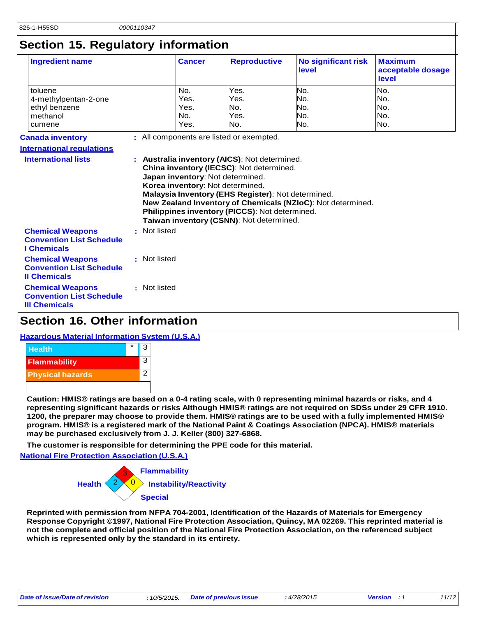## **Section 15. Regulatory information**

| <b>Ingredient name</b>                                                             |              | <b>Cancer</b> | <b>Reproductive</b>                                                                                                                                                                                                                                                  | <b>No significant risk</b><br>level                         | <b>Maximum</b><br>acceptable dosage<br>level |
|------------------------------------------------------------------------------------|--------------|---------------|----------------------------------------------------------------------------------------------------------------------------------------------------------------------------------------------------------------------------------------------------------------------|-------------------------------------------------------------|----------------------------------------------|
| toluene                                                                            |              | No.           | Yes.                                                                                                                                                                                                                                                                 | No.                                                         | No.                                          |
| 4-methylpentan-2-one                                                               |              | Yes.          | Yes.                                                                                                                                                                                                                                                                 | No.                                                         | No.                                          |
| ethyl benzene                                                                      |              | Yes.          | No.                                                                                                                                                                                                                                                                  | No.                                                         | No.                                          |
| methanol                                                                           |              | No.           | Yes.                                                                                                                                                                                                                                                                 | No.                                                         | No.                                          |
| cumene                                                                             |              | Yes.          | No.                                                                                                                                                                                                                                                                  | No.                                                         | No.                                          |
| <b>Canada inventory</b>                                                            |              |               | : All components are listed or exempted.                                                                                                                                                                                                                             |                                                             |                                              |
| <b>International requlations</b>                                                   |              |               |                                                                                                                                                                                                                                                                      |                                                             |                                              |
|                                                                                    |              |               | China inventory (IECSC): Not determined.<br>Japan inventory: Not determined.<br>Korea inventory: Not determined.<br>Malaysia Inventory (EHS Register): Not determined.<br>Philippines inventory (PICCS): Not determined.<br>Taiwan inventory (CSNN): Not determined. | New Zealand Inventory of Chemicals (NZIoC): Not determined. |                                              |
| <b>Chemical Weapons</b><br><b>Convention List Schedule</b><br><b>I</b> Chemicals   | : Not listed |               |                                                                                                                                                                                                                                                                      |                                                             |                                              |
| <b>Chemical Weapons</b><br><b>Convention List Schedule</b><br><b>Il Chemicals</b>  | : Not listed |               |                                                                                                                                                                                                                                                                      |                                                             |                                              |
| <b>Chemical Weapons</b><br><b>Convention List Schedule</b><br><b>III Chemicals</b> | : Not listed |               |                                                                                                                                                                                                                                                                      |                                                             |                                              |

## **Section 16. Other information**

### **Hazardous Material Information System (U.S.A.)**



Caution: HMIS® ratings are based on a 0-4 rating scale, with 0 representing minimal hazards or risks, and 4 representing significant hazards or risks Although HMIS® ratings are not required on SDSs under 29 CFR 1910. 1200, the preparer may choose to provide them. HMIS® ratings are to be used with a fully implemented HMIS® **program. HMIS® is a registered mark of the National Paint & Coatings Association (NPCA). HMIS® materials may be purchased exclusively from J. J. Keller (800) 327-6868.**

**The customer is responsible for determining the PPE code for this material.** 

**National Fire Protection Association (U.S.A.)**



**Reprinted with permission from NFPA 704-2001, Identification of the Hazards of Materials for Emergency Response Copyright ©1997, National Fire Protection Association, Quincy, MA 02269. This reprinted material is not the complete and official position of the National Fire Protection Association, on the referenced subject which is represented only by the standard in its entirety.**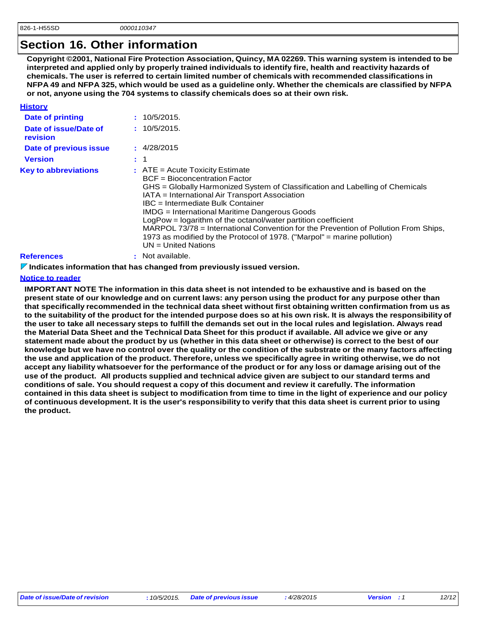### **Section 16. Other information**

**Copyright ©2001, National Fire Protection Association, Quincy, MA 02269. This warning system is intended to be interpreted and applied only by properly trained individuals to identify fire, health and reactivity hazards of chemicals. The user is referred to certain limited number of chemicals with recommended classifications in**  NFPA 49 and NFPA 325, which would be used as a guideline only. Whether the chemicals are classified by NFPA **or not, anyone using the 704 systems to classify chemicals does so at their own risk.**

| <b>History</b>                    |                                                                                                                                                                                                                                                                                                                                                                                                                                                                                                                                                                         |
|-----------------------------------|-------------------------------------------------------------------------------------------------------------------------------------------------------------------------------------------------------------------------------------------------------------------------------------------------------------------------------------------------------------------------------------------------------------------------------------------------------------------------------------------------------------------------------------------------------------------------|
| Date of printing                  | 10/5/2015.                                                                                                                                                                                                                                                                                                                                                                                                                                                                                                                                                              |
| Date of issue/Date of<br>revision | : 10/5/2015.                                                                                                                                                                                                                                                                                                                                                                                                                                                                                                                                                            |
| Date of previous issue            | : 4/28/2015                                                                                                                                                                                                                                                                                                                                                                                                                                                                                                                                                             |
| <b>Version</b>                    | : 1                                                                                                                                                                                                                                                                                                                                                                                                                                                                                                                                                                     |
| <b>Key to abbreviations</b>       | $\therefore$ ATE = Acute Toxicity Estimate<br>BCF = Bioconcentration Factor<br>GHS = Globally Harmonized System of Classification and Labelling of Chemicals<br>IATA = International Air Transport Association<br>IBC = Intermediate Bulk Container<br><b>IMDG</b> = International Maritime Dangerous Goods<br>LogPow = logarithm of the octanol/water partition coefficient<br>MARPOL 73/78 = International Convention for the Prevention of Pollution From Ships,<br>1973 as modified by the Protocol of 1978. ("Marpol" = marine pollution)<br>$UN = United Nations$ |
| <b>References</b>                 | Not available.                                                                                                                                                                                                                                                                                                                                                                                                                                                                                                                                                          |

#### **Indicates information that has changed from previously issued version.**

#### **Notice to reader**

IMPORTANT NOTE The information in this data sheet is not intended to be exhaustive and is based on the present state of our knowledge and on current laws: any person using the product for any purpose other than that specifically recommended in the technical data sheet without first obtaining written confirmation from us as to the suitability of the product for the intended purpose does so at his own risk. It is always the responsibility of the user to take all necessary steps to fulfill the demands set out in the local rules and legislation. Always read the Material Data Sheet and the Technical Data Sheet for this product if available. All advice we give or any statement made about the product by us (whether in this data sheet or otherwise) is correct to the best of our knowledge but we have no control over the quality or the condition of the substrate or the many factors affecting the use and application of the product. Therefore, unless we specifically agree in writing otherwise, we do not accept any liability whatsoever for the performance of the product or for any loss or damage arising out of the use of the product. All products supplied and technical advice given are subject to our standard terms and **conditions of sale. You should request a copy of this document and review it carefully. The information** contained in this data sheet is subject to modification from time to time in the light of experience and our policy of continuous development. It is the user's responsibility to verify that this data sheet is current prior to using **the product.**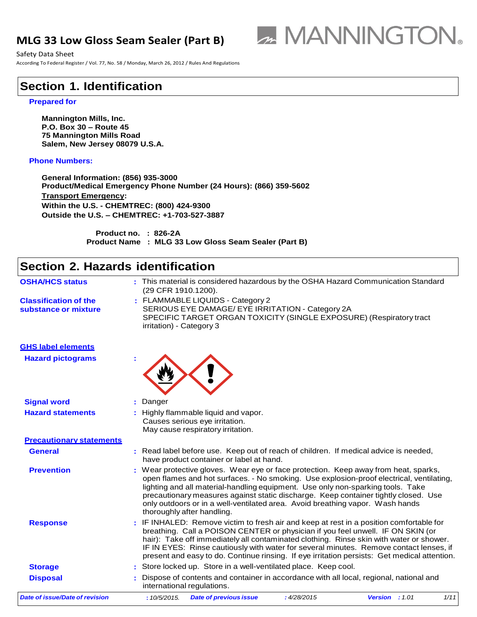### **MLG 33 Low Gloss Seam Sealer (Part B)**



Safety Data Sheet **Sheet** Sheet Sheet Sheet Sheet Sheet Sheet Sheet Sheet Sheet Sheet Sheet Sheet Sheet Sheet Sheet Sheet Sheet Sheet Sheet Sheet Sheet Sheet Sheet Sheet Sheet Sheet Sheet Sheet Sheet Sheet Sheet Sheet Shee

According To Federal Register / Vol. 77, No. 58 / Monday, March 26, 2012 / Rules And Regulations

### **Section 1. Identification**

#### **Prepared for**

**Mannington Mills, Inc. P.O. Box 30 – Route 45 75 Mannington Mills Road Salem, New Jersey 08079 U.S.A.**

#### **Phone Numbers:**

**General Information: (856) 935-3000 Product/Medical Emergency Phone Number (24 Hours): (866) 359-5602 Transport Emergency: Within the U.S. - CHEMTREC: (800) 424-9300 Outside the U.S. – CHEMTREC: +1-703-527-3887**

> **Product no. : 826-2A Product Name : MLG 33 Low Gloss Seam Sealer (Part B)**

#### *Date of issue/Date of revision* **:** *10/5/2015. Date of previous issue : 4/28/2015 Version : 1.01 1/11* **Section 2. Hazards identification OSHA/HCS status :** This material is considered hazardous by the OSHA Hazard Communication Standard (29 CFR 1910.1200). **Classification of the substance or mixture :** FLAMMABLE LIQUIDS - Category 2 SERIOUS EYE DAMAGE/ EYE IRRITATION - Category 2A SPECIFIC TARGET ORGAN TOXICITY (SINGLE EXPOSURE) (Respiratory tract irritation) - Category 3 **GHS label elements Hazard pictograms : Signal word :** Danger **Hazard statements :** Highly flammable liquid and vapor. Causes serious eye irritation. May cause respiratory irritation. **Precautionary statements General :** Read label before use. Keep out of reach of children. If medical advice is needed, have product container or label at hand. **Prevention :** Wear protective gloves. Wear eye or face protection. Keep away from heat, sparks, open flames and hot surfaces. - No smoking. Use explosion-proof electrical, ventilating, lighting and all material-handling equipment. Use only non-sparking tools. Take precautionary measures against static discharge. Keep container tightly closed. Use only outdoors or in a well-ventilated area. Avoid breathing vapor. Wash hands thoroughly after handling. **Response :** IF INHALED: Remove victim to fresh air and keep at rest in a position comfortable for breathing. Call a POISON CENTER or physician if you feel unwell. IF ON SKIN (or hair): Take off immediately all contaminated clothing. Rinse skin with water or shower. IF IN EYES: Rinse cautiously with water for several minutes. Remove contact lenses, if present and easy to do. Continue rinsing. If eye irritation persists: Get medical attention. **Storage 19.1 :** Store locked up. Store in a well-ventilated place. Keep cool. **Disposal <b>Exercice :** Dispose of contents and container in accordance with all local, regional, national and international regulations.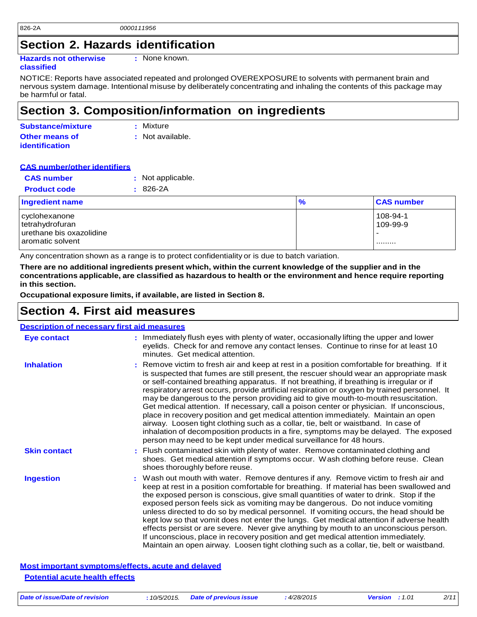### **Section 2. Hazards identification**

**Hazards not otherwise** 

**:** None known.

#### **classified**

NOTICE: Reports have associated repeated and prolonged OVEREXPOSURE to solvents with permanent brain and nervous system damage. Intentional misuse by deliberately concentrating and inhaling the contents of this package may be harmful or fatal.

### **Section 3. Composition/information on ingredients**

| <b>Substance/mixture</b> | : Mixture        |
|--------------------------|------------------|
| <b>Other means of</b>    | : Not available. |
| <b>identification</b>    |                  |

#### **CAS number/other identifiers**

| <b>CAS number</b>   | : Not applicable. |
|---------------------|-------------------|
| <b>Product code</b> | $: 826-2A$        |

| <b>Ingredient name</b>                                                               | $\frac{9}{6}$ | <b>CAS number</b>         |
|--------------------------------------------------------------------------------------|---------------|---------------------------|
| cyclohexanone<br>tetrahydrofuran<br>l urethane bis oxazolidine<br>l aromatic solvent |               | 108-94-1<br>109-99-9<br>. |

Any concentration shown as a range is to protect confidentiality or is due to batch variation.

There are no additional ingredients present which, within the current knowledge of the supplier and in the **concentrations applicable, are classified as hazardous to health or the environment and hence require reporting in this section.**

**Occupational exposure limits, if available, are listed in Section 8.**

### **Section 4. First aid measures**

| <b>Description of necessary first aid measures</b> |                                                                                                                                                                                                                                                                                                                                                                                                                                                                                                                                                                                                                                                                                                                                                                                                                                                                                                                |  |
|----------------------------------------------------|----------------------------------------------------------------------------------------------------------------------------------------------------------------------------------------------------------------------------------------------------------------------------------------------------------------------------------------------------------------------------------------------------------------------------------------------------------------------------------------------------------------------------------------------------------------------------------------------------------------------------------------------------------------------------------------------------------------------------------------------------------------------------------------------------------------------------------------------------------------------------------------------------------------|--|
| <b>Eye contact</b>                                 | : Immediately flush eyes with plenty of water, occasionally lifting the upper and lower<br>eyelids. Check for and remove any contact lenses. Continue to rinse for at least 10<br>minutes. Get medical attention.                                                                                                                                                                                                                                                                                                                                                                                                                                                                                                                                                                                                                                                                                              |  |
| <b>Inhalation</b>                                  | : Remove victim to fresh air and keep at rest in a position comfortable for breathing. If it<br>is suspected that fumes are still present, the rescuer should wear an appropriate mask<br>or self-contained breathing apparatus. If not breathing, if breathing is irregular or if<br>respiratory arrest occurs, provide artificial respiration or oxygen by trained personnel. It<br>may be dangerous to the person providing aid to give mouth-to-mouth resuscitation.<br>Get medical attention. If necessary, call a poison center or physician. If unconscious,<br>place in recovery position and get medical attention immediately. Maintain an open<br>airway. Loosen tight clothing such as a collar, tie, belt or waistband. In case of<br>inhalation of decomposition products in a fire, symptoms may be delayed. The exposed<br>person may need to be kept under medical surveillance for 48 hours. |  |
| <b>Skin contact</b>                                | : Flush contaminated skin with plenty of water. Remove contaminated clothing and<br>shoes. Get medical attention if symptoms occur. Wash clothing before reuse. Clean<br>shoes thoroughly before reuse.                                                                                                                                                                                                                                                                                                                                                                                                                                                                                                                                                                                                                                                                                                        |  |
| <b>Ingestion</b>                                   | Wash out mouth with water. Remove dentures if any. Remove victim to fresh air and<br>keep at rest in a position comfortable for breathing. If material has been swallowed and<br>the exposed person is conscious, give small quantities of water to drink. Stop if the<br>exposed person feels sick as vomiting may be dangerous. Do not induce vomiting<br>unless directed to do so by medical personnel. If vomiting occurs, the head should be<br>kept low so that vomit does not enter the lungs. Get medical attention if adverse health<br>effects persist or are severe. Never give anything by mouth to an unconscious person.<br>If unconscious, place in recovery position and get medical attention immediately.<br>Maintain an open airway. Loosen tight clothing such as a collar, tie, belt or waistband.                                                                                        |  |

**Most important symptoms/effects, acute and delayed Potential acute health effects**

*Date of issue/Date of revision* **:** *10/5/2015. Date of previous issue : 4/28/2015 Version : 1.01 2/11*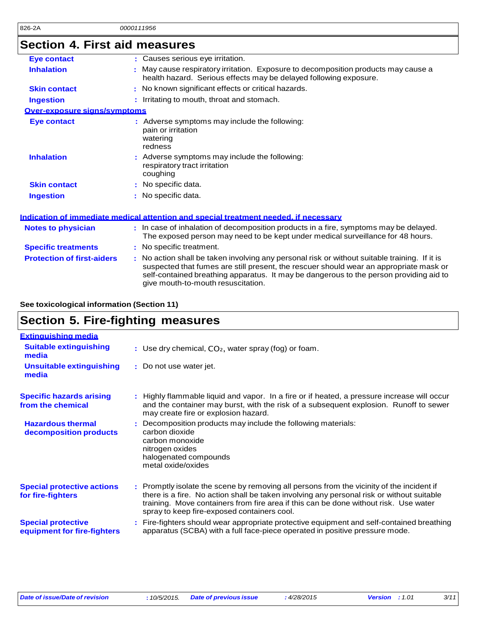# **Section 4. First aid measures**

| <b>Eye contact</b>                | : Causes serious eye irritation.                                                                                                                                                                                                                                                                                        |
|-----------------------------------|-------------------------------------------------------------------------------------------------------------------------------------------------------------------------------------------------------------------------------------------------------------------------------------------------------------------------|
| <b>Inhalation</b>                 | May cause respiratory irritation. Exposure to decomposition products may cause a<br>health hazard. Serious effects may be delayed following exposure.                                                                                                                                                                   |
| <b>Skin contact</b>               | : No known significant effects or critical hazards.                                                                                                                                                                                                                                                                     |
| <b>Ingestion</b>                  | : Irritating to mouth, throat and stomach.                                                                                                                                                                                                                                                                              |
| Over-exposure signs/symptoms      |                                                                                                                                                                                                                                                                                                                         |
| <b>Eye contact</b>                | : Adverse symptoms may include the following:<br>pain or irritation<br>watering<br>redness                                                                                                                                                                                                                              |
| <b>Inhalation</b>                 | : Adverse symptoms may include the following:<br>respiratory tract irritation<br>coughing                                                                                                                                                                                                                               |
| <b>Skin contact</b>               | : No specific data.                                                                                                                                                                                                                                                                                                     |
| <b>Ingestion</b>                  | : No specific data.                                                                                                                                                                                                                                                                                                     |
|                                   | <u>Indication of immediate medical attention and special treatment needed, if necessary</u>                                                                                                                                                                                                                             |
| <b>Notes to physician</b>         | : In case of inhalation of decomposition products in a fire, symptoms may be delayed.<br>The exposed person may need to be kept under medical surveillance for 48 hours.                                                                                                                                                |
| <b>Specific treatments</b>        | : No specific treatment.                                                                                                                                                                                                                                                                                                |
| <b>Protection of first-aiders</b> | : No action shall be taken involving any personal risk or without suitable training. If it is<br>suspected that fumes are still present, the rescuer should wear an appropriate mask or<br>self-contained breathing apparatus. It may be dangerous to the person providing aid to<br>give mouth-to-mouth resuscitation. |

#### **See toxicological information (Section 11)**

### **Section 5. Fire-fighting measures**

| <b>Extinguishing media</b>                               |                                                                                                                                                                                                                                                                                                                               |
|----------------------------------------------------------|-------------------------------------------------------------------------------------------------------------------------------------------------------------------------------------------------------------------------------------------------------------------------------------------------------------------------------|
| <b>Suitable extinguishing</b><br>media                   | : Use dry chemical, $CO2$ , water spray (fog) or foam.                                                                                                                                                                                                                                                                        |
| <b>Unsuitable extinguishing</b><br>media                 | : Do not use water jet.                                                                                                                                                                                                                                                                                                       |
| <b>Specific hazards arising</b><br>from the chemical     | . Highly flammable liquid and vapor. In a fire or if heated, a pressure increase will occur<br>and the container may burst, with the risk of a subsequent explosion. Runoff to sewer<br>may create fire or explosion hazard.                                                                                                  |
| <b>Hazardous thermal</b><br>decomposition products       | : Decomposition products may include the following materials:<br>carbon dioxide<br>carbon monoxide<br>nitrogen oxides<br>halogenated compounds<br>metal oxide/oxides                                                                                                                                                          |
| <b>Special protective actions</b><br>for fire-fighters   | : Promptly isolate the scene by removing all persons from the vicinity of the incident if<br>there is a fire. No action shall be taken involving any personal risk or without suitable<br>training. Move containers from fire area if this can be done without risk. Use water<br>spray to keep fire-exposed containers cool. |
| <b>Special protective</b><br>equipment for fire-fighters | : Fire-fighters should wear appropriate protective equipment and self-contained breathing<br>apparatus (SCBA) with a full face-piece operated in positive pressure mode.                                                                                                                                                      |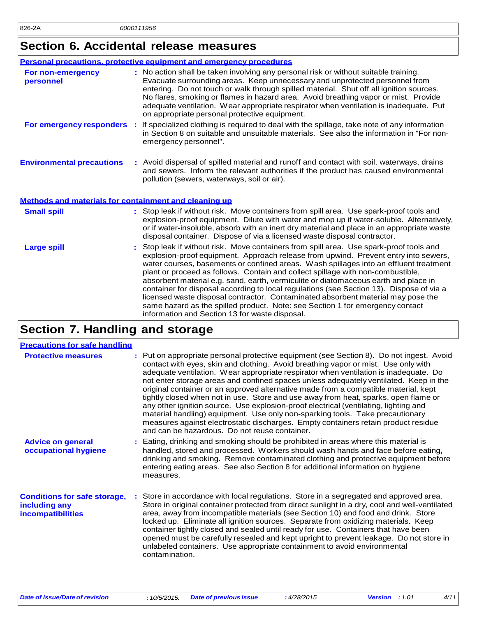## **Section 6. Accidental release measures**

| Personal precautions, protective equipment and emergency procedures |                                                                                                                                                                                                                                                                                                                                                                                                                                                                                                                                                                                                                                                                                                                                                                    |  |
|---------------------------------------------------------------------|--------------------------------------------------------------------------------------------------------------------------------------------------------------------------------------------------------------------------------------------------------------------------------------------------------------------------------------------------------------------------------------------------------------------------------------------------------------------------------------------------------------------------------------------------------------------------------------------------------------------------------------------------------------------------------------------------------------------------------------------------------------------|--|
| For non-emergency<br>personnel                                      | : No action shall be taken involving any personal risk or without suitable training.<br>Evacuate surrounding areas. Keep unnecessary and unprotected personnel from<br>entering. Do not touch or walk through spilled material. Shut off all ignition sources.<br>No flares, smoking or flames in hazard area. Avoid breathing vapor or mist. Provide<br>adequate ventilation. Wear appropriate respirator when ventilation is inadequate. Put<br>on appropriate personal protective equipment.                                                                                                                                                                                                                                                                    |  |
| For emergency responders :                                          | If specialized clothing is required to deal with the spillage, take note of any information<br>in Section 8 on suitable and unsuitable materials. See also the information in "For non-<br>emergency personnel".                                                                                                                                                                                                                                                                                                                                                                                                                                                                                                                                                   |  |
| <b>Environmental precautions</b>                                    | : Avoid dispersal of spilled material and runoff and contact with soil, waterways, drains<br>and sewers. Inform the relevant authorities if the product has caused environmental<br>pollution (sewers, waterways, soil or air).                                                                                                                                                                                                                                                                                                                                                                                                                                                                                                                                    |  |
| Methods and materials for containment and cleaning up               |                                                                                                                                                                                                                                                                                                                                                                                                                                                                                                                                                                                                                                                                                                                                                                    |  |
| <b>Small spill</b>                                                  | : Stop leak if without risk. Move containers from spill area. Use spark-proof tools and<br>explosion-proof equipment. Dilute with water and mop up if water-soluble. Alternatively,<br>or if water-insoluble, absorb with an inert dry material and place in an appropriate waste<br>disposal container. Dispose of via a licensed waste disposal contractor.                                                                                                                                                                                                                                                                                                                                                                                                      |  |
| <b>Large spill</b>                                                  | Stop leak if without risk. Move containers from spill area. Use spark-proof tools and<br>explosion-proof equipment. Approach release from upwind. Prevent entry into sewers,<br>water courses, basements or confined areas. Wash spillages into an effluent treatment<br>plant or proceed as follows. Contain and collect spillage with non-combustible,<br>absorbent material e.g. sand, earth, vermiculite or diatomaceous earth and place in<br>container for disposal according to local regulations (see Section 13). Dispose of via a<br>licensed waste disposal contractor. Contaminated absorbent material may pose the<br>same hazard as the spilled product. Note: see Section 1 for emergency contact<br>information and Section 13 for waste disposal. |  |

## **Section 7. Handling and storage**

| <b>Precautions for safe handling</b>                                             |                                                                                                                                                                                                                                                                                                                                                                                                                                                                                                                                                                                                                                                                                                                                                                                                                                                               |
|----------------------------------------------------------------------------------|---------------------------------------------------------------------------------------------------------------------------------------------------------------------------------------------------------------------------------------------------------------------------------------------------------------------------------------------------------------------------------------------------------------------------------------------------------------------------------------------------------------------------------------------------------------------------------------------------------------------------------------------------------------------------------------------------------------------------------------------------------------------------------------------------------------------------------------------------------------|
| <b>Protective measures</b>                                                       | : Put on appropriate personal protective equipment (see Section 8). Do not ingest. Avoid<br>contact with eyes, skin and clothing. Avoid breathing vapor or mist. Use only with<br>adequate ventilation. Wear appropriate respirator when ventilation is inadequate. Do<br>not enter storage areas and confined spaces unless adequately ventilated. Keep in the<br>original container or an approved alternative made from a compatible material, kept<br>tightly closed when not in use. Store and use away from heat, sparks, open flame or<br>any other ignition source. Use explosion-proof electrical (ventilating, lighting and<br>material handling) equipment. Use only non-sparking tools. Take precautionary<br>measures against electrostatic discharges. Empty containers retain product residue<br>and can be hazardous. Do not reuse container. |
| <b>Advice on general</b><br>occupational hygiene                                 | : Eating, drinking and smoking should be prohibited in areas where this material is<br>handled, stored and processed. Workers should wash hands and face before eating,<br>drinking and smoking. Remove contaminated clothing and protective equipment before<br>entering eating areas. See also Section 8 for additional information on hygiene<br>measures.                                                                                                                                                                                                                                                                                                                                                                                                                                                                                                 |
| <b>Conditions for safe storage,</b><br>including any<br><b>incompatibilities</b> | Store in accordance with local regulations. Store in a segregated and approved area.<br>Store in original container protected from direct sunlight in a dry, cool and well-ventilated<br>area, away from incompatible materials (see Section 10) and food and drink. Store<br>locked up. Eliminate all ignition sources. Separate from oxidizing materials. Keep<br>container tightly closed and sealed until ready for use. Containers that have been<br>opened must be carefully resealed and kept upright to prevent leakage. Do not store in<br>unlabeled containers. Use appropriate containment to avoid environmental<br>contamination.                                                                                                                                                                                                                |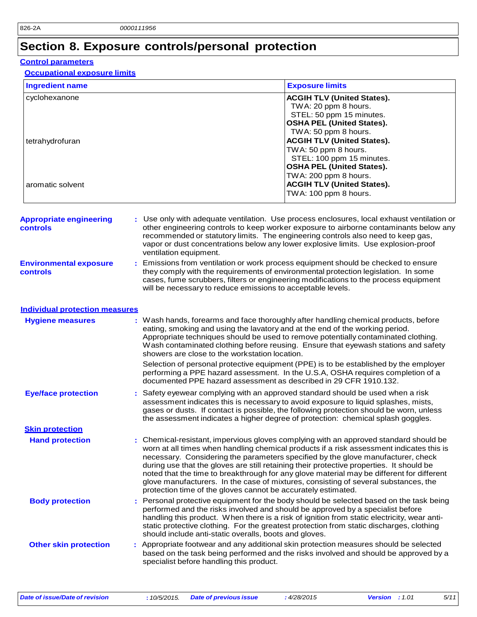## **Section 8. Exposure controls/personal protection**

### **Control parameters**

#### **Occupational exposure limits**

| <b>Ingredient name</b>                               |                                                                   | <b>Exposure limits</b>                                                                                                                                                                                                                                                                                                                                                                                                                                                                                                                                |
|------------------------------------------------------|-------------------------------------------------------------------|-------------------------------------------------------------------------------------------------------------------------------------------------------------------------------------------------------------------------------------------------------------------------------------------------------------------------------------------------------------------------------------------------------------------------------------------------------------------------------------------------------------------------------------------------------|
| cyclohexanone<br>tetrahydrofuran<br>aromatic solvent |                                                                   | <b>ACGIH TLV (United States).</b><br>TWA: 20 ppm 8 hours.<br>STEL: 50 ppm 15 minutes.<br><b>OSHA PEL (United States).</b><br>TWA: 50 ppm 8 hours.<br><b>ACGIH TLV (United States).</b><br>TWA: 50 ppm 8 hours.<br>STEL: 100 ppm 15 minutes.<br><b>OSHA PEL (United States).</b><br>TWA: 200 ppm 8 hours.<br><b>ACGIH TLV (United States).</b>                                                                                                                                                                                                         |
|                                                      |                                                                   | TWA: 100 ppm 8 hours.                                                                                                                                                                                                                                                                                                                                                                                                                                                                                                                                 |
| <b>Appropriate engineering</b><br><b>controls</b>    | ventilation equipment.                                            | : Use only with adequate ventilation. Use process enclosures, local exhaust ventilation or<br>other engineering controls to keep worker exposure to airborne contaminants below any<br>recommended or statutory limits. The engineering controls also need to keep gas,<br>vapor or dust concentrations below any lower explosive limits. Use explosion-proof                                                                                                                                                                                         |
| <b>Environmental exposure</b><br>controls            | will be necessary to reduce emissions to acceptable levels.       | Emissions from ventilation or work process equipment should be checked to ensure<br>they comply with the requirements of environmental protection legislation. In some<br>cases, fume scrubbers, filters or engineering modifications to the process equipment                                                                                                                                                                                                                                                                                        |
| <b>Individual protection measures</b>                |                                                                   |                                                                                                                                                                                                                                                                                                                                                                                                                                                                                                                                                       |
| <b>Hygiene measures</b>                              | showers are close to the workstation location.                    | : Wash hands, forearms and face thoroughly after handling chemical products, before<br>eating, smoking and using the lavatory and at the end of the working period.<br>Appropriate techniques should be used to remove potentially contaminated clothing.<br>Wash contaminated clothing before reusing. Ensure that eyewash stations and safety                                                                                                                                                                                                       |
|                                                      | documented PPE hazard assessment as described in 29 CFR 1910.132. | Selection of personal protective equipment (PPE) is to be established by the employer<br>performing a PPE hazard assessment. In the U.S.A, OSHA requires completion of a                                                                                                                                                                                                                                                                                                                                                                              |
| <b>Eye/face protection</b>                           |                                                                   | Safety eyewear complying with an approved standard should be used when a risk<br>assessment indicates this is necessary to avoid exposure to liquid splashes, mists,<br>gases or dusts. If contact is possible, the following protection should be worn, unless<br>the assessment indicates a higher degree of protection: chemical splash goggles.                                                                                                                                                                                                   |
| <b>Skin protection</b>                               |                                                                   |                                                                                                                                                                                                                                                                                                                                                                                                                                                                                                                                                       |
| <b>Hand protection</b>                               | protection time of the gloves cannot be accurately estimated.     | : Chemical-resistant, impervious gloves complying with an approved standard should be<br>worn at all times when handling chemical products if a risk assessment indicates this is<br>necessary. Considering the parameters specified by the glove manufacturer, check<br>during use that the gloves are still retaining their protective properties. It should be<br>noted that the time to breakthrough for any glove material may be different for different<br>glove manufacturers. In the case of mixtures, consisting of several substances, the |
| <b>Body protection</b>                               | should include anti-static overalls, boots and gloves.            | Personal protective equipment for the body should be selected based on the task being<br>performed and the risks involved and should be approved by a specialist before<br>handling this product. When there is a risk of ignition from static electricity, wear anti-<br>static protective clothing. For the greatest protection from static discharges, clothing                                                                                                                                                                                    |
| <b>Other skin protection</b>                         | specialist before handling this product.                          | Appropriate footwear and any additional skin protection measures should be selected<br>based on the task being performed and the risks involved and should be approved by a                                                                                                                                                                                                                                                                                                                                                                           |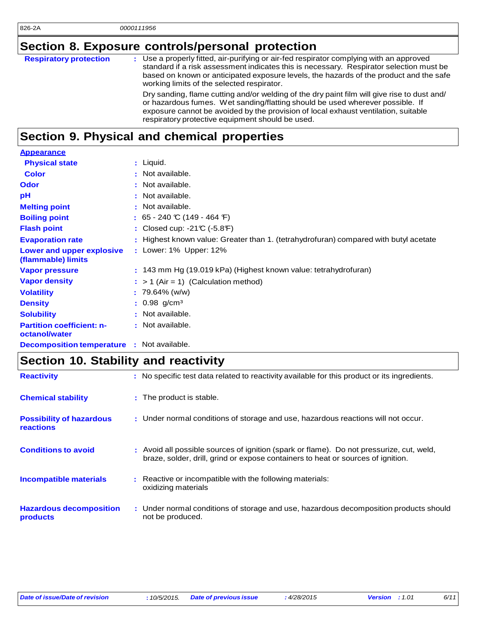## **Section 8. Exposure controls/personal protection**

| <b>Respiratory protection</b> | : Use a properly fitted, air-purifying or air-fed respirator complying with an approved<br>standard if a risk assessment indicates this is necessary. Respirator selection must be<br>based on known or anticipated exposure levels, the hazards of the product and the safe<br>working limits of the selected respirator. |
|-------------------------------|----------------------------------------------------------------------------------------------------------------------------------------------------------------------------------------------------------------------------------------------------------------------------------------------------------------------------|
|                               | Dry sanding, flame cutting and/or welding of the dry paint film will give rise to dust and/<br>or hazardous fumes. Wet sanding/flatting should be used wherever possible. If<br>exposure cannot be avoided by the provision of local exhaust ventilation, suitable<br>respiratory protective equipment should be used.     |

## **Section 9. Physical and chemical properties**

| <b>Appearance</b>                                 |                                                                                      |
|---------------------------------------------------|--------------------------------------------------------------------------------------|
| <b>Physical state</b>                             | : Liquid.                                                                            |
| <b>Color</b>                                      | : Not available.                                                                     |
| Odor                                              | : Not available.                                                                     |
| рH                                                | : Not available.                                                                     |
| <b>Melting point</b>                              | : Not available.                                                                     |
| <b>Boiling point</b>                              | : 65 - 240 °C (149 - 464 °F)                                                         |
| <b>Flash point</b>                                | : Closed cup: $-21C$ ( $-5.8F$ )                                                     |
| <b>Evaporation rate</b>                           | : Highest known value: Greater than 1. (tetrahydrofuran) compared with butyl acetate |
| Lower and upper explosive<br>(flammable) limits   | : Lower: 1% Upper: 12%                                                               |
| <b>Vapor pressure</b>                             | $: 143$ mm Hg (19.019 kPa) (Highest known value: tetrahydrofuran)                    |
| <b>Vapor density</b>                              | $:$ > 1 (Air = 1) (Calculation method)                                               |
| <b>Volatility</b>                                 | $: 79.64\%$ (w/w)                                                                    |
| <b>Density</b>                                    | $: 0.98$ g/cm <sup>3</sup>                                                           |
| <b>Solubility</b>                                 | : Not available.                                                                     |
| <b>Partition coefficient: n-</b><br>octanol/water | : Not available.                                                                     |
| <b>Decomposition temperature</b>                  | : Not available.                                                                     |

## **Section 10. Stability and reactivity**

| <b>Reactivity</b>                            | : No specific test data related to reactivity available for this product or its ingredients.                                                                                 |
|----------------------------------------------|------------------------------------------------------------------------------------------------------------------------------------------------------------------------------|
| <b>Chemical stability</b>                    | : The product is stable.                                                                                                                                                     |
| <b>Possibility of hazardous</b><br>reactions | : Under normal conditions of storage and use, hazardous reactions will not occur.                                                                                            |
| <b>Conditions to avoid</b>                   | : Avoid all possible sources of ignition (spark or flame). Do not pressurize, cut, weld,<br>braze, solder, drill, grind or expose containers to heat or sources of ignition. |
| <b>Incompatible materials</b>                | : Reactive or incompatible with the following materials:<br>oxidizing materials                                                                                              |
| <b>Hazardous decomposition</b><br>products   | : Under normal conditions of storage and use, hazardous decomposition products should<br>not be produced.                                                                    |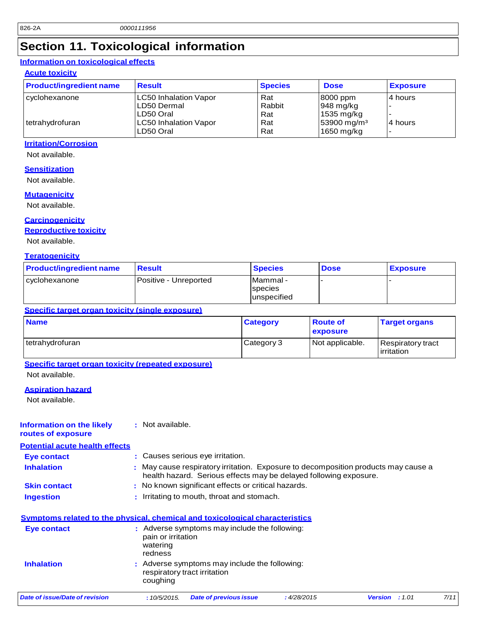## **Section 11. Toxicological information**

### **Information on toxicological effects**

### **Acute toxicity**

| <b>Product/ingredient name</b> | <b>Result</b>                                            | <b>Species</b>       | <b>Dose</b>                                               | <b>Exposure</b>      |
|--------------------------------|----------------------------------------------------------|----------------------|-----------------------------------------------------------|----------------------|
| cyclohexanone                  | <b>LC50 Inhalation Vapor</b><br>LD50 Dermal<br>LD50 Oral | Rat<br>Rabbit<br>Rat | 8000 ppm<br>$ 948 \text{ mg/kg} $<br>$1535 \text{ mg/kg}$ | 4 hours              |
| tetrahydrofuran                | <b>LC50 Inhalation Vapor</b><br>LD50 Oral                | Rat<br>Rat           | $53900 \,\mathrm{mg/m^3}$<br>1650 mg/kg                   | 4 hours<br>$\,$ $\,$ |

#### **Irritation/Corrosion**

Not available.

#### **Sensitization**

Not available.

#### **Mutagenicity**

Not available.

#### **Carcinogenicity**

**Reproductive toxicity**

Not available.

#### **Teratogenicity**

| <b>Product/ingredient name</b> | <b>Result</b>         | <b>Species</b>                                     | <b>Dose</b> | <b>Exposure</b> |
|--------------------------------|-----------------------|----------------------------------------------------|-------------|-----------------|
| l cvclohexanone                | Positive - Unreported | <b>Mammal</b> -<br><b>Ispecies</b><br>lunspecified |             |                 |

#### **Specific target organ toxicity (single exposure)**

| <b>Name</b>     | <b>Category</b> | ∣ Route of<br>exposure | <b>Target organs</b>                    |
|-----------------|-----------------|------------------------|-----------------------------------------|
| tetrahydrofuran | Category 3      | Not applicable.        | Respiratory tract<br><b>lirritation</b> |

#### **Specific target organ toxicity (repeated exposure)**

Not available.

#### **Aspiration hazard**

Not available.

#### **Information on the likely routes of exposure :** Not available.

**Potential acute health effects**

| Eye contact         | : Causes serious eye irritation.                                                                                                                      |
|---------------------|-------------------------------------------------------------------------------------------------------------------------------------------------------|
| <b>Inhalation</b>   | May cause respiratory irritation. Exposure to decomposition products may cause a<br>health hazard. Serious effects may be delayed following exposure. |
| <b>Skin contact</b> | : No known significant effects or critical hazards.                                                                                                   |

**Ingestion :** Irritating to mouth, throat and stomach.

### **Symptoms related to the physical, chemical and toxicological characteristics**

| Eye contact       | : Adverse symptoms may include the following:<br>pain or irritation<br>watering<br>redness |
|-------------------|--------------------------------------------------------------------------------------------|
| <b>Inhalation</b> | : Adverse symptoms may include the following:<br>respiratory tract irritation<br>coughing  |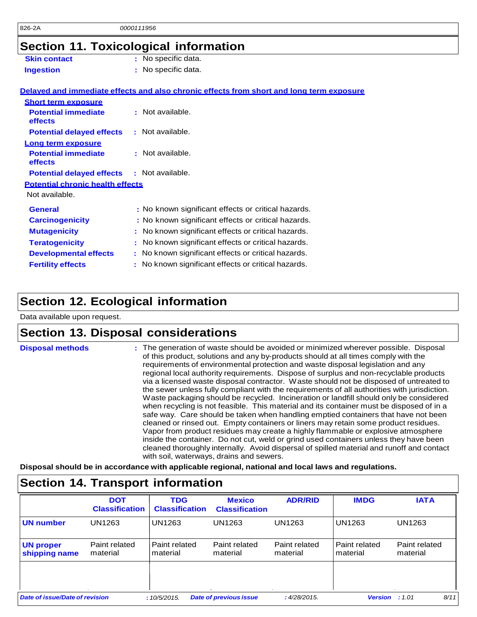## **Section 11. Toxicological information**

|                                         | Section TT. TOXICOlogical Information                                                    |
|-----------------------------------------|------------------------------------------------------------------------------------------|
| <b>Skin contact</b>                     | : No specific data.                                                                      |
| <b>Ingestion</b>                        | : No specific data.                                                                      |
|                                         | Delayed and immediate effects and also chronic effects from short and long term exposure |
| <b>Short term exposure</b>              |                                                                                          |
| <b>Potential immediate</b><br>effects   | : Not available.                                                                         |
| <b>Potential delayed effects</b>        | : Not available.                                                                         |
| Long term exposure                      |                                                                                          |
| <b>Potential immediate</b><br>effects   | : Not available.                                                                         |
| <b>Potential delayed effects</b>        | $\cdot$ Not available.                                                                   |
| <b>Potential chronic health effects</b> |                                                                                          |
| Not available.                          |                                                                                          |
| <b>General</b>                          | : No known significant effects or critical hazards.                                      |
| <b>Carcinogenicity</b>                  | : No known significant effects or critical hazards.                                      |
| <b>Mutagenicity</b>                     | : No known significant effects or critical hazards.                                      |
| <b>Teratogenicity</b>                   | No known significant effects or critical hazards.<br>÷.                                  |
| <b>Developmental effects</b>            | No known significant effects or critical hazards.                                        |
| <b>Fertility effects</b>                | : No known significant effects or critical hazards.                                      |
|                                         |                                                                                          |

## **Section 12. Ecological information**

Data available upon request.

### **Section 13. Disposal considerations**

| <b>Disposal methods</b> | : The generation of waste should be avoided or minimized wherever possible. Disposal<br>of this product, solutions and any by-products should at all times comply with the<br>requirements of environmental protection and waste disposal legislation and any<br>regional local authority requirements. Dispose of surplus and non-recyclable products<br>via a licensed waste disposal contractor. Waste should not be disposed of untreated to<br>the sewer unless fully compliant with the requirements of all authorities with jurisdiction.<br>Waste packaging should be recycled. Incineration or landfill should only be considered<br>when recycling is not feasible. This material and its container must be disposed of in a<br>safe way. Care should be taken when handling emptied containers that have not been<br>cleaned or rinsed out. Empty containers or liners may retain some product residues.<br>Vapor from product residues may create a highly flammable or explosive atmosphere<br>inside the container. Do not cut, weld or grind used containers unless they have been<br>cleaned thoroughly internally. Avoid dispersal of spilled material and runoff and contact |
|-------------------------|------------------------------------------------------------------------------------------------------------------------------------------------------------------------------------------------------------------------------------------------------------------------------------------------------------------------------------------------------------------------------------------------------------------------------------------------------------------------------------------------------------------------------------------------------------------------------------------------------------------------------------------------------------------------------------------------------------------------------------------------------------------------------------------------------------------------------------------------------------------------------------------------------------------------------------------------------------------------------------------------------------------------------------------------------------------------------------------------------------------------------------------------------------------------------------------------|
|                         | with soil, waterways, drains and sewers.                                                                                                                                                                                                                                                                                                                                                                                                                                                                                                                                                                                                                                                                                                                                                                                                                                                                                                                                                                                                                                                                                                                                                       |

**Disposal should be in accordance with applicable regional, national and local laws and regulations.**

| <b>Section 14. Transport information</b> |                                     |                                     |                                        |                           |                           |                           |
|------------------------------------------|-------------------------------------|-------------------------------------|----------------------------------------|---------------------------|---------------------------|---------------------------|
|                                          | <b>DOT</b><br><b>Classification</b> | <b>TDG</b><br><b>Classification</b> | <b>Mexico</b><br><b>Classification</b> | <b>ADR/RID</b>            | <b>IMDG</b>               | <b>IATA</b>               |
| <b>UN number</b>                         | UN1263                              | <b>UN1263</b>                       | UN1263                                 | UN1263                    | UN1263                    | UN1263                    |
| <b>UN proper</b><br>shipping name        | Paint related<br>material           | Paint related<br>material           | Paint related<br>material              | Paint related<br>material | Paint related<br>material | Paint related<br>material |
| Date of issue/Date of revision           |                                     | :10/5/2015.                         | <b>Date of previous issue</b>          | :4/28/2015.               | <b>Version</b>            | 8/11<br>: 1.01            |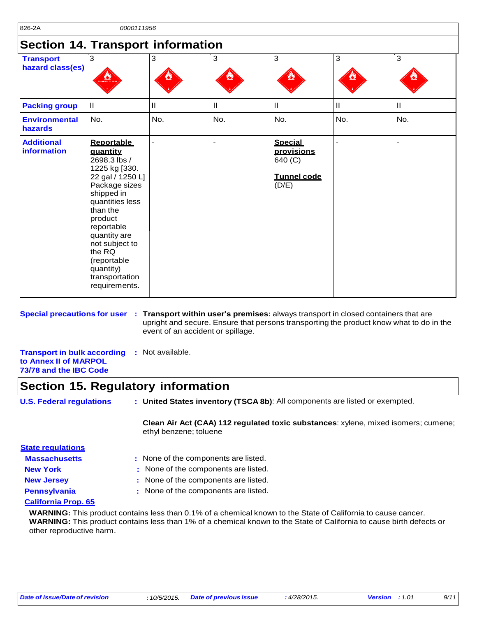### **Section 14. Transport information**

| <b>Transport</b><br>hazard class(es) | $\overline{3}$                                                                                                                                                                                                                                                                       | 3             | $\overline{3}$ | $\overline{3}$                                                         | 3            | $\overline{3}$ |
|--------------------------------------|--------------------------------------------------------------------------------------------------------------------------------------------------------------------------------------------------------------------------------------------------------------------------------------|---------------|----------------|------------------------------------------------------------------------|--------------|----------------|
|                                      | <b>INABLE L</b>                                                                                                                                                                                                                                                                      |               |                |                                                                        |              |                |
| <b>Packing group</b>                 | $\ensuremath{\mathsf{II}}$                                                                                                                                                                                                                                                           | $\mathbf{II}$ | $\mathbf{I}$   | $\mathbf{I}$                                                           | $\mathbf{I}$ | $\mathbf{H}$   |
| <b>Environmental</b><br>hazards      | No.                                                                                                                                                                                                                                                                                  | No.           | No.            | No.                                                                    | No.          | No.            |
| <b>Additional</b><br>information     | <b>Reportable</b><br>quantity<br>2698.3 lbs /<br>1225 kg [330.<br>22 gal / 1250 L]<br>Package sizes<br>shipped in<br>quantities less<br>than the<br>product<br>reportable<br>quantity are<br>not subject to<br>the RQ<br>(reportable<br>quantity)<br>transportation<br>requirements. |               |                | <b>Special</b><br>provisions<br>640 (C)<br><b>Tunnel code</b><br>(D/E) |              |                |

**Special precautions for user : Transport within user's premises:** always transport in closed containers that are upright and secure. Ensure that persons transporting the product know what to do in the event of an accident or spillage.

**Transport in bulk according :** Not available. **to Annex II of MARPOL 73/78 and the IBC Code**

### **Section 15. Regulatory information**

| <b>U.S. Federal regulations</b> | : United States inventory (TSCA 8b): All components are listed or exempted.        |
|---------------------------------|------------------------------------------------------------------------------------|
|                                 | Clean Air Act (CAA) 112 regulated toxic substances: xylene, mixed isomers; cumene; |

| <b>State regulations</b> |                                      |
|--------------------------|--------------------------------------|
| <b>Massachusetts</b>     | : None of the components are listed. |
| <b>New York</b>          | : None of the components are listed. |
| <b>New Jersey</b>        | : None of the components are listed. |
| <b>Pennsylvania</b>      | : None of the components are listed. |
|                          |                                      |

#### **California Prop. 65**

**WARNING:** This product contains less than 0.1% of a chemical known to the State of California to cause cancer. **WARNING:** This product contains less than 1% of a chemical known to the State of California to cause birth defects or other reproductive harm.

ethyl benzene; toluene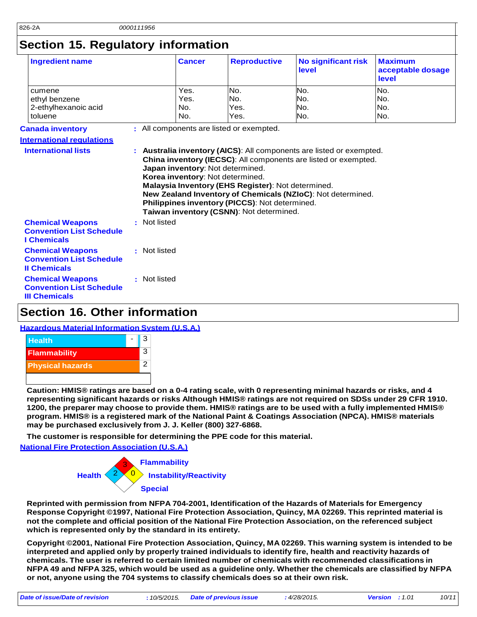## **Section 15. Regulatory information**

| <b>Ingredient name</b>                                                             |              | <b>Cancer</b>       | <b>Reproductive</b>                                                                                                                                                                                                      | <b>No significant risk</b><br>level                                                                                                                                                                    | <b>Maximum</b><br>acceptable dosage<br>level |
|------------------------------------------------------------------------------------|--------------|---------------------|--------------------------------------------------------------------------------------------------------------------------------------------------------------------------------------------------------------------------|--------------------------------------------------------------------------------------------------------------------------------------------------------------------------------------------------------|----------------------------------------------|
| cumene<br>ethyl benzene<br>2-ethylhexanoic acid                                    |              | Yes.<br>Yes.<br>No. | No.<br>No.<br>Yes.                                                                                                                                                                                                       | No.<br>No.<br>No.                                                                                                                                                                                      | No.<br>No.<br>INo.                           |
| toluene                                                                            |              | No.                 | Yes.                                                                                                                                                                                                                     | No.                                                                                                                                                                                                    | No.                                          |
| <b>Canada inventory</b>                                                            |              |                     | : All components are listed or exempted.                                                                                                                                                                                 |                                                                                                                                                                                                        |                                              |
| <b>International requiations</b>                                                   |              |                     |                                                                                                                                                                                                                          |                                                                                                                                                                                                        |                                              |
| <b>International lists</b>                                                         |              |                     | Japan inventory: Not determined.<br>Korea inventory: Not determined.<br>Malaysia Inventory (EHS Register): Not determined.<br>Philippines inventory (PICCS): Not determined.<br>Taiwan inventory (CSNN): Not determined. | : Australia inventory (AICS): All components are listed or exempted.<br>China inventory (IECSC): All components are listed or exempted.<br>New Zealand Inventory of Chemicals (NZIoC): Not determined. |                                              |
| <b>Chemical Weapons</b><br><b>Convention List Schedule</b><br><b>I</b> Chemicals   | : Not listed |                     |                                                                                                                                                                                                                          |                                                                                                                                                                                                        |                                              |
| <b>Chemical Weapons</b><br><b>Convention List Schedule</b><br><b>Il Chemicals</b>  | : Not listed |                     |                                                                                                                                                                                                                          |                                                                                                                                                                                                        |                                              |
| <b>Chemical Weapons</b><br><b>Convention List Schedule</b><br><b>III Chemicals</b> | : Not listed |                     |                                                                                                                                                                                                                          |                                                                                                                                                                                                        |                                              |

### **Section 16. Other information**

#### **Hazardous Material Information System (U.S.A.)**



Caution: HMIS® ratings are based on a 0-4 rating scale, with 0 representing minimal hazards or risks, and 4 representing significant hazards or risks Although HMIS® ratings are not required on SDSs under 29 CFR 1910. 1200, the preparer may choose to provide them. HMIS® ratings are to be used with a fully implemented HMIS® **program. HMIS® is a registered mark of the National Paint & Coatings Association (NPCA). HMIS® materials may be purchased exclusively from J. J. Keller (800) 327-6868.**

**The customer is responsible for determining the PPE code for this material.** 

**National Fire Protection Association (U.S.A.)**



**Reprinted with permission from NFPA 704-2001, Identification of the Hazards of Materials for Emergency Response Copyright ©1997, National Fire Protection Association, Quincy, MA 02269. This reprinted material is not the complete and official position of the National Fire Protection Association, on the referenced subject which is represented only by the standard in its entirety.**

**Copyright ©2001, National Fire Protection Association, Quincy, MA 02269. This warning system is intended to be interpreted and applied only by properly trained individuals to identify fire, health and reactivity hazards of chemicals. The user is referred to certain limited number of chemicals with recommended classifications in**  NFPA 49 and NFPA 325, which would be used as a guideline only. Whether the chemicals are classified by NFPA **or not, anyone using the 704 systems to classify chemicals does so at their own risk.**